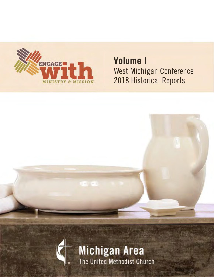

# **Volume I** 2018 Historical Reports West Michigan Conference

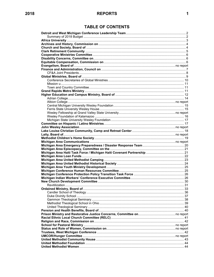# **TABLE OF CONTENTS**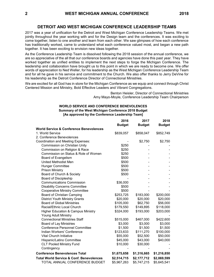# **DETROIT AND WEST MICHIGAN CONFERENCE LEADERSHIP TEAMS**

2017 was a year of unification for the Detroit and West Michigan Conference Leadership Teams. We met jointly throughout the year working with and for the Design team and the conferences. It was exciting to come together, listen to one another and learn from each other. We saw glimpses of how each conference has traditionally worked, came to understand what each conference valued most, and began a new path together. It has been exciting to envision new ideas together.

As the Conference Leadership Team is dissolved following the 2018 session of the annual conference, we are so appreciative of the all that our conference boards and agencies have done this past year. They have worked together as unified entities to implement the next steps to forge the Michigan Conference. The leadership and collaboration have brought us to this point in which we are ready to become one. We offer words of appreciation to Ned Weller, for his leadership as the West Michigan Conference Leadership Team and for all he gave in his service and commitment to the Church. We also offer thanks to Jerry DeVine for his leadership as the Detroit Conference Director of Connectional Ministries.

We are excited for all God has in store for the Michigan Conference as we equip and connect through Christ Centered Mission and Ministry, Bold Effective Leaders and Vibrant Congregations.

> Benton Heisler, Director of Connectional Ministries Amy Mayo-Moyle, Conference Leadership Team Chairperson

#### **WORLD SERVICE AND CONFERENCE BENEVOLENCES [As approved by the Conference Leadership Team] Summary of the West Michigan Conference 2018 Budget**

|                                                     | 2016          | 2017          | 2018          |
|-----------------------------------------------------|---------------|---------------|---------------|
|                                                     | <b>Budget</b> | <b>Budget</b> | <b>Budget</b> |
| <b>World Service &amp; Conference Benevolences</b>  |               |               |               |
| 1. World Service                                    | \$839,057     | \$858,047     | \$852,749     |
| 2. Conference Benevolences                          |               |               |               |
| Coordination and Meeting Expenses:                  |               | \$2,750       | \$2,750       |
| Commission on Christian Unity                       | \$250         |               |               |
| Commission on Religion & Race                       | \$250         |               |               |
| Commission on Status & Role of Women                | \$250         |               |               |
| Board of Evangelism                                 | \$500         |               |               |
| United Methodist Men                                | \$500         |               |               |
| <b>Hunger Committee</b>                             | \$500         |               |               |
| Prison Ministry                                     | \$500         |               |               |
| Board of Church & Society                           | \$500         |               |               |
| <b>Board of Discipleship</b>                        |               |               |               |
| <b>Communications Commission</b>                    | \$36,000      |               |               |
| <b>Disability Concerns Committee</b>                | \$500         |               |               |
| <b>Cooperative Ministry Committee</b>               | \$500         |               |               |
| Board of Christian Camping                          | \$253,725     | \$183,000     | \$200,000     |
| <b>District Youth Ministry Grants</b>               | \$20,000      | \$20,000      | \$20,000      |
| <b>Board of Global Ministries</b>                   | \$105,000     | \$62,750      | \$56,000      |
| Racial/Ethnic Local Church                          | \$179,550     | \$149,895     | \$118,000     |
| <b>Higher Education &amp; Campus Ministry</b>       | \$324,000     | \$193,000     | \$203,000     |
| Young Adult Ministry                                |               |               |               |
| <b>Connectional Ministries Staff</b>                | \$515,000     | \$467,000     | \$422,600     |
| <b>Board of Lay Ministries</b>                      | \$3,000       | \$3,000       | \$3,000       |
| <b>Conference Personnel Committee</b>               | \$1,500       | \$1,500       | \$1,500       |
| Indian Workers' Conference                          | \$123,633     | \$111,270     | \$100,000     |
| Vital Church Initiative                             | \$55,000      | \$52,500      | \$50,000      |
| Hispanic/Latino Committee                           | \$45,000      | \$43,000      | \$40,000      |
| <b>CLT Pooled Ministry Fund</b>                     | \$10,000      | \$30,000      |               |
| Contingency                                         |               |               |               |
| <b>Conference Benevolences Total</b>                | \$1,675,658   | \$1,316,665   | \$1,216,850   |
| <b>Total World Service &amp; Conf. Benevolences</b> | \$2,514,715   | \$2,177,712   | \$2,069,599   |
| TOTAL ANNUAL CONFERENCE BUDGET                      | \$5,967,263   | \$5,747,215   | \$5,645,541   |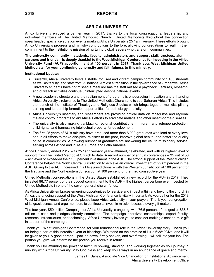# **AFRICA UNIVERSITY**

Africa University enjoyed a banner year in 2017, thanks to the local congregations, leadership, and individual members of The United Methodist Church. United Methodists throughout the connection spearheaded special celebration events marking Africa University's 25<sup>th</sup> anniversary. These efforts brought Africa University's progress and ministry contributions to the fore, allowing congregations to reaffirm their commitment to the institution's mission of nurturing global leaders who transform communities.

**The university community** – **students, faculty, administrators and support staff, trustees, alumni, partners and friends** – **is deeply thankful to the West Michigan Conference for investing in the Africa University Fund (AUF) apportionment at 100 percent in 2017. Thank you, West Michigan United Methodists, for your continuing generosity and faithfulness to this ministry.**

**Institutional Update:**

- Currently, Africa University hosts a stable, focused and vibrant campus community of 1,400 students as well as faculty, and staff from 29 nations. Amidst a transition in the governance of Zimbabwe, Africa University students have not missed a meal nor has the staff missed a paycheck. Lectures, research, and outreach activities continue uninterrupted despite national events.
- A new academic structure and the realignment of programs is encouraging innovation and enhancing Africa University's relevance to The United Methodist Church and to sub-Saharan Africa. This includes the launch of the Institute of Theology and Religious Studies which brings together multidisciplinary training and leadership formation opportunities for both clergy and laity.
- **•** Africa University's insectary and researchers are providing critical data on mosquitos and regional malaria control programs to aid Africa's efforts to eradicate malaria and other insect-borne diseases.
- The university is also making trailblazing, regional contributions in migrant and refugee protection, child rights, and harnessing intellectual property for development.
- The first 25 years of AU's ministry have produced more than 8,000 graduates who lead at every level and in all efforts to make disciples, minister to the poor, improve global health, and better the quality of life in communities. A growing number of graduates are answering the call to missionary service, serving across Africa and in Asia, Europe and Latin America.

Africa University ended 2017 – its 25<sup>th</sup> anniversary year – affirmed, celebrated, and with its highest level of support from The United Methodist Church to date. A record number of annual conferences – 35 out of 56 – achieved or exceeded their 100 percent investment in the AUF. The strong support of the West Michigan Conference helped the North Central Jurisdiction to achieve an overall investment of 99.83 percent in the AUF. Giving to the AUF increased in all five jurisdictions – with the Western Jurisdiction at 100 percent for the first time and the Northeastern Jurisdiction at 100 percent for the third consecutive year.

United Methodist congregations in the United States established a new record for the AUF in 2017. They invested 96.77 percent of their budget commitment to the AUF – the highest percentage ever invested by United Methodists in one of the seven general church funds.

As Africa University embraces emerging opportunities for service and impact within and beyond the church in Africa, the ongoing support of the West Michigan Conference is vitally important. As you gather for the 2018 West Michigan Annual Conference, please keep Africa University in your prayers. Thank your congregation of its graciousness and urge members to continue to invest in mission because every gift matters.

The four-year, \$50 million Campaign for Africa University is ongoing, with 76.5 percent of the goal or \$38.3 million in cash and pledges already committed. The campaign prioritizes scholarships, expert faculty, research, infrastructure, and technology. Africa University invites you to consider making a second-mile gift in support of the campaign.

Thank you, West Michigan Conference, for your foundational role in the Africa University story. Thank you for being a part of this incredible year of blessings. We stand on the promise of Luke 6:38: "Give, and it will be given to you. A good portion – packed down, firmly shaken, and overflowing – will fall into your lap. The portion you give will determine the portion you receive in return."

Thank you for affirming the power of faithfully sowing, standing, and working together as you journey in ministry with Africa University. May God bless and keep you always in an abundance of grace and mercy.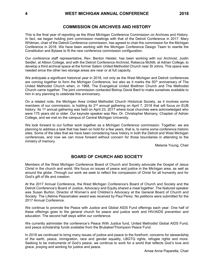This is the final year of reporting as the West Michigan Conference Commission on Archives and History. In fact, we began holding joint commission meetings with that of the Detroit Conference in 2017. Mary Whitman, chair of the Detroit Conference commission, has agreed to chair the commission for the Michigan Conference in 2018. We have been working with the Michigan Conference Design Team to rewrite the Constitution and Bylaws to fit the new conference commission configuration.

Our conference staff representative, Rev. Benton Heisler, has been working with our Archivist, Justin Seidler, at Albion College, and with the Detroit Conference Archivist, Rebecca McNitt, at Adrian College, to develop a third archival space at the former Salem United Methodist Church near St Johns. This space was needed since the other two storage areas are near or at full capacity.

We anticipate a significant historical year in 2018, not only as the West Michigan and Detroit conferences are coming together to form the Michigan Conference, but also as it marks the  $50<sup>th</sup>$  anniversary of The United Methodist Church when, in 1968, The Evangelical United Brethren Church and The Methodist Church came together. The joint commission contacted Bishop David Bard to make ourselves available to him in any planning to celebrate this anniversary.

On a related note, the Michigan Area United Methodist Church Historical Society, as it involves some members of our commission, is holding its 2<sup>nd</sup> annual gathering on April 7, 2018 that will focus on EUB history. Its 1<sup>st</sup> annual gathering was held on April 23, 2017 where local churches were acknowledged who were 175 years old or older. Our keynote speaker was Rev. Dr. Christopher Momany, Chaplain of Adrian College, and we met on the campus of Central Michigan University.

We look forward to our further work together as a Michigan Conference commission. Together, we are planning to address a task that has been on hold for a few years, that is, to name some conference historic sites. Some of the sites that we have been considering have history in both the Detroit and West Michigan conferences, and now we can move forward without concern for those boundaries in attending to the ministry of memory.

Melanie Young, Chair

### **BOARD OF CHURCH AND SOCIETY**

Members of the West Michigan Conference Board of Church and Society advocate the Gospel of Jesus Christ in the church and world. We focus on issues of peace and justice in the Michigan area, as well as around the globe. Through our work we seek to reflect the compassion of Christ for all humanity and for God's gift of life and creation.

At the 2017 Annual Conference, the West Michigan Conference's Board of Church and Society and the Detroit Conference's Board of Justice, Advocacy and Equity shared a meal together. The featured speaker was Susan Burton, Director of Women's and Children's Advocacy at the General Board of Church and Society. The Lifetime Peacemaker award was received by Paul Perez. No petitions were submitted for the 2017 Annual Conference.

We continue to promote the Peace with Justice and Global AIDS Fund offerings each year. One half of these offerings goes to the general church for peace and justice work and HIV/AIDS prevention and education. The second half stays within our conference.

We currently administer the conference's Peace With Justice fund, United Methodist Global AIDS Fund, and peace scholarship funds available from the Brubaker/Thompson Peace Fund.

In 2018 we continued to bring many issues of justice and peace to the forefront: concerns for stewardship of the earth, peace, immigration, race and gender equality, LBGTQ rights, refugee rights and more. Seeking to be instruments of God's peace, we continue to work for a world that reflects God's love and grace, praying and working for justice and peace.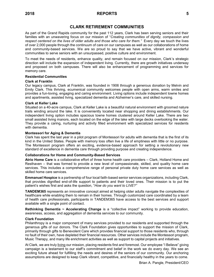# **CLARK RETIREMENT COMMUNITIES**

As part of the Grand Rapids community for the past 112 years, Clark has been serving seniors and their families with an unwavering focus on our mission of "*Creating communities of dignity, compassion and respect centered on the lives of older adults and those who care for them."* Every day we touch the lives of over 2,000 people through the continuum of care on our campuses as well as our collaborations of home and community-based services. We are so proud to say that we have active, vibrant and wonderful communities to serve seniors with an unsurpassed, positive culture and environment.

To meet the needs of residents, enhance quality, and remain focused on our mission, Clark's strategic direction will include the expansion of independent living. Currently, there are growth initiatives underway and proposed on both campuses. There will also be enhancement of programming and services for memory care.

#### **Residential Communities**

#### **Clark at Franklin**

Our legacy campus, Clark at Franklin, was founded in 1906 through a generous donation by Melvin and Emily Clark. This thriving, ecumenical community welcomes people with open arms, warm smiles and provides a fun-loving, engaging and caring environment. Living options include independent towne homes and apartments, assisted living, specialized dementia and Alzheimer's care, and skilled nursing.

#### **Clark at Keller Lake**

Situated on a 40-acre campus, Clark at Keller Lake is a beautiful natural environment with groomed nature trails winding around the lake. It is conveniently located near shopping and dining establishments. Our independent living option includes spacious towne homes clustered around Keller Lake. There are two small assisted living manors, each located on the edge of the lake with large decks overlooking the water. They provide a caring, nurturing and activity filled environment with specialized services for residents with dementia.

#### **Montessori for Aging & Dementia**

Clark has spent the last year in a pilot program of Montessori for adults with dementia that is the first of its kind in the United States. People with memory loss often live a life of emptiness with little or no purpose. The Montessori program offers an exciting, evidence-based approach for setting a revolutionary new standard of excellence in dementia care through providing purpose and creating independence.

### **Collaborations for Home and Community-Based Services**

**Atrio Home Care** is a collaborative effort of three home health care providers – Clark, Holland Home and Resthaven – that was formed to provide a new level of compassionate, skilled, and quality home care services. This includes a comprehensive range of personal private duty home care services as well as skilled home care services.

**Emmanuel Hospice** is a partnership of four local faith-based senior services organizations, including Clark, that provides dignified end-of-life support to patients and their loved ones. Their mission is to put the patient's wishes first and asks the question, "*How do you want to LIVE?"*

**TANDEM365** represents an innovative concept aimed at helping older adults navigate the complexities of healthcare while enabling them to remain in their homes. Through customized care coordinated by a team of health care professionals, participants in TANDEM365 have access to the best services and support available with a single point of contact.

**Rethinking Dementia ~ Accelerating Change** is a "collective impact" working to provide education, awareness, access, and aggregation of dementia services to our community.

#### **Clark Foundation**

Philanthropy is a major component of many services provided to our residents and supported through the generous gifts of our donors. The Clark Foundation gives opportunities to support the mission of Clark, primarily through gifts to Benevolent Care which provides financial support to those residents who, through no fault of their own, have depleted their financial resources. Other services include the Montessori program, Music Therapy, and many life enrichment activities as well as support to capital projects and initiatives.

At Clark, we are truly living our mission, placing residents first and foremost. Our employee "I Believe" giving campaign is a testament to our staff's commitment and belief in the work we do every day. We see an exciting future ahead for fulfilling the needs and desires of the seniors of our community. Our anchoring assumptions are designed to keep Clark vibrant, competitive, and financially healthy in the years to come.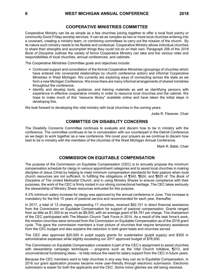# **COOPERATIVE MINISTRIES COMMITTEE**

Cooperative Ministry can be as simple as a few churches joining together to offer a local food pantry or community Good Friday worship services. It can be as complex as two or more local churches entering into a covenant, creating a ministry team, or combining committees to carry out the mission of the church. By its nature such ministry needs to be flexible and contextual. Cooperative Ministry allows individual churches to share their strengths and accomplish things they could not do on their own. Paragraph 206 of the *2016 Book of Discipline* outlines the variety of forms Cooperative Ministry can take and the various roles and responsibilities of local churches, annual conferences, and cabinets.

The Cooperative Ministries Committee goals and objectives include:

- Continued support and consultation of the formal Cooperative Ministries (groupings of churches which have entered into covenantal relationships by church conference action) and informal Cooperative Ministries in West Michigan. We currently are exploring ways of connecting across the state as we form a new Michigan Conference. We know there are many informal arrangements of shared ministries throughout the conference.
- **.** Identify and develop tools, guidance, and training materials as well as identifying persons with experience in effective cooperative ministry in order to resource local churches and the cabinet. We hope to make much of this "resource library" available online and have taken the initial steps in developing this.

We look forward to developing this vital ministry with local churches in the coming years.

Jodie R. Flessner, Chair

# **COMMITTEE ON DISABILITY CONCERNS**

The Disability Concerns Committee continues to evaluate and discern how to be in ministry with the conference. The committee continues to be in conversation with our counterpart in the Detroit Conference as we begin to work together as a new conference. We covet your prayers as we continue to discern how best to be in ministry with the members of the churches of the West Michigan Annual Conference.

Mark R. Babb, Chair

# **COMMISSION ON EQUITABLE COMPENSATION**

The purpose of the Commission on Equitable Compensation (CEC) is to annually propose the minimum compensation schedule for clergy in various appointment categories and to assist local churches in making disciples of Jesus Christ by helping to meet minimum compensation standards for their pastors when local church resources are not sufficient. In fulfilling the obligations of ¶342, ¶624, and ¶625 of *The Book of Discipline of The United Methodist Church*, and in using Ministry Shares to ensure compliance with their purposes, the work of the CEC is firmly rooted in our strong connectional heritage. The CEC takes seriously the stewardship of Ministry Share resources entrusted for this purpose.

A 2% minimum salary increase for clergy was approved by the annual conference in June. This increase is mandatory for the first 10 years of pastoral service and recommended for each year, thereafter.

In 2017, a total of 13 charges, representing 17 churches, received \$62,151 in direct financial assistance from the Commission on Equitable Compensation for support of pastoral compensation. Grants ranged from as little as \$1,000 to as much as \$8,000, with an average grant of \$4,781 per charge. The chairperson of the CEC participated with The Mission Church Task Force in 2014. As a result of the task force's work, the mission churches were removed from the Commission on Equitable Compensation as of the 2016 grant cycle. This gave the commission members a truer picture of churches that require temporary assistance from the CEC budget and also explains the reduction in both grant totals and churches served.

The CEC also approved \$20,000 in pulpit supply grants for sustentation (pulpit supply) and \$300 in administrative expenses while slightly exceeding our 2017 approved budget of \$76,500.

The Commission on Equitable Compensation considers it part of the CEC's assignment to assist churches with stewardship campaign techniques – programs such as the Vital Church Initiative, ¶213, and unconventional fundraising ideas – to help reduce the need for salary support from the CEC in future years.

Because the CEC members want to help churches in any way they can as to Equitable Compensation, in 2016 our grant application process became more user-friendly through electronic submission. Electronic submission is easier for both the applicants and the CEC. Some minor glitches are still being resolved.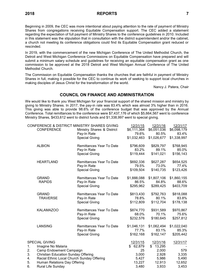Beginning in 2009, the CEC was more intentional about paying attention to the rate of payment of Ministry Shares from congregations receiving Equitable Compensation support. The CEC added a statement regarding the expectation of full payment of Ministry Shares to the conference guidelines in 2010. Included in this statement was the stipulation that in consultation with the district superintendent and/or the cabinet, a church not meeting its conference obligations could find its Equitable Compensation grant reduced or rescinded.

In 2019, with the commencement of the new Michigan Conference of The United Methodist Church, the Detroit and West Michigan Conference Commissions on Equitable Compensation have prepared and will submit a minimum salary schedule and guidelines for receiving an equitable compensation grant as one commission to be approved at the 2018 Detroit and West Michigan Annual Conference of The United Methodist Church.

The Commission on Equitable Compensation thanks the churches that are faithful in payment of Ministry Shares in full, making it possible for the CEC to continue its work of seeking to support local churches in making disciples of Jesus Christ for the transformation of the world.

Nancy J. Patera, Chair

# **COUNCIL ON FINANCE AND ADMINISTRATION**

We would like to thank you West Michigan for your financial support of the shared mission and ministry by giving to Ministry Shares. In 2017, the pay-in rate was 83.4% which was almost 3% higher than in 2016. This giving was able to provide 98.6% of the conference budget that was approved by the Annual Conference. Total remittances to the conference were \$7,437,176 of which \$5,664,567 went to conference Ministry Shares, \$433,612 went to district funds and \$1,338,997 went to special giving.

| CONFERENCE & DISTRICT MINISTRY SHARES GIVING |                                            | 12/31/15                   | 12/31/16    | 12/31/17    |             |
|----------------------------------------------|--------------------------------------------|----------------------------|-------------|-------------|-------------|
|                                              | <b>CONFERENCE</b>                          | Ministry Shares & District | \$6,111,364 | \$6,051,036 | \$6,098,179 |
|                                              |                                            | Pay-In Rate                | 79.6%       | 80.5%       | 83.4%       |
|                                              |                                            | <b>Special Giving</b>      | \$1,032,463 | \$1,026,677 | \$1,338,997 |
|                                              | <b>ALBION</b>                              | Remittances Year To Date   | \$796,609   | \$829,797   | \$768,945   |
|                                              |                                            | Pay-In Rate                | 83.2%       | 89.1%       | 85.0%       |
|                                              |                                            | <b>Special Giving</b>      | \$119,444   | \$141,021   | \$156,143   |
|                                              | <b>HEARTLAND</b>                           | Remittances Year To Date   | \$692,336   | \$627,287   | \$654,525   |
|                                              |                                            | Pay-In Rate                | 79.5%       | 73.0%       | 77.4%       |
|                                              |                                            | <b>Special Giving</b>      | \$109,504   | \$140,735   | \$123,426   |
|                                              | <b>GRAND</b>                               | Remittances Year To Date   | \$1,888,088 | \$1,807,106 | \$1,860,155 |
|                                              | <b>RAPIDS</b>                              | Pay-In Rate                | 86.5%       | 84.8%       | 88.6%       |
|                                              |                                            | <b>Special Giving</b>      | \$295,962   | \$289,425   | \$403,709   |
|                                              | <b>GRAND</b>                               | Remittances Year To Date   | \$813,430   | \$792,763   | \$818,088   |
|                                              | <b>TRAVERSE</b>                            | Pay-In Rate                | 78.8%       | 80.1%       | 83.8%       |
|                                              |                                            | <b>Special Giving</b>      | \$112,809   | \$112,704   | \$178,138   |
|                                              | <b>KALAMAZOO</b>                           | Remittances Year To Date   | \$874,770   | \$931,589   | \$970,867   |
|                                              |                                            | Pay-In Rate                | 68.0%       | 70.1%       | 75.6%       |
|                                              |                                            | <b>Special Giving</b>      | \$232,576   | \$180,645   | \$257,812   |
|                                              | <b>LANSING</b>                             | Remittances Year To Date   | \$1,046,131 | \$1,062,494 | \$1,022,040 |
|                                              |                                            | Pay-In Rate                | 77.7%       | 83.1%       | 85.3%       |
|                                              |                                            | <b>Special Giving</b>      | \$162,168   | \$162,147   | \$205,442   |
|                                              | <b>SPECIAL GIVING</b>                      |                            | 12/31/15    | 12/31/16    | 12/31/17    |
| 1.                                           | Imagine No Malaria                         |                            | \$62,879    | \$13,295    |             |
| 2.                                           | Camp Endowment Campaign                    |                            | 25          | 2,000       | 579         |
| 3.                                           | <b>Christian Education Sunday Offering</b> |                            | 3,000       | 2,928       | 3,335       |
| 4.                                           | Racial Ethnic Local Church Sunday Offering |                            | 5,427       | 5,986       | 5,490       |
| 5.                                           | Human Relations Day Offering               |                            | 13,227      | 12,913      | 12,652      |
| 6.                                           | Rural Life Sunday                          |                            | 3,480       | 3,933       | 3,453       |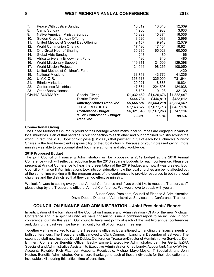|     |                                       | % of Conference Budget<br><b>Received</b> | 89.6%       | 93.9%       | 98.6%       |
|-----|---------------------------------------|-------------------------------------------|-------------|-------------|-------------|
|     |                                       | <b>Conference Budget</b>                  | \$6,321,843 | \$5,967,263 | \$5,747,216 |
|     |                                       | TOTAL RECEIPTS                            | \$7,143,827 | \$7,077,713 | \$7,437,176 |
|     |                                       | <b>Ministry Shares Received</b>           | \$5,666,581 | \$5,604,218 | \$5,664,567 |
|     |                                       | District Funds                            | \$444,784   | \$446,819   | \$433,612   |
|     | <b>GIVING SUMMARY:</b>                | <b>Special Giving</b>                     | \$1,032,462 | \$1,026,676 | \$1,338,997 |
| 23. | <b>Other Benevolences</b>             |                                           | 6,727       | 10,123      | 32,138      |
| 22. | <b>Conference Ministries</b>          |                                           | 147,834     | 224,598     | 124,938     |
| 21. | <b>Ethnic Ministries</b>              |                                           | 20,921      | 18,883      | 19,634      |
| 20. | <b>U.M.C.O.R.</b>                     |                                           | 358,618     | 335,009     | 731,644     |
| 19. | <b>National Missions</b>              |                                           | 38,743      | 43,776      | 41,236      |
| 18. | United Methodist Children's Fund      |                                           |             |             | 1,420       |
| 17. | <b>World Mission Projects</b>         |                                           | 124,044     | 98,265      | 108,050     |
| 16. | <b>World Missionary Support</b>       |                                           | 119,311     | 124,509     | 129,398     |
| 15. | Africa University Endowment Fund      |                                           | 496         | 840         | 485         |
| 14. | Global Aids Sunday                    |                                           | 248         | 180         | 166         |
| 13. | One Great Hour of Sharing             |                                           | 65,285      | 65,028      | 60,005      |
| 12. | <b>World Communion Offering</b>       |                                           | 17,436      | 17,104      | 16,621      |
| 11. | United Methodist Student Day Offering |                                           | 9,157       | 9,918       | 12,079      |
| 10. | Golden Cross Sunday Offering          |                                           | 3,920       | 4,038       | 3,696       |
| 9.  | Native American Ministry Sunday       |                                           | 15,899      | 15,374      | 16,036      |
| 8.  | Camp Sunday                           |                                           | 4,966       | 4,933       | 3,633       |
| 7.  | Peace With Justice Sunday             |                                           | 10,819      | 13,043      | 12,309      |

#### **Connectional Giving**

The United Methodist Church is proud of their heritage where many local churches are engaged in various local ministries. Part of that heritage is our connection to each other and our combined ministry around the world. In fact, the *2016 Book of Discipline* ¶ 812 says that payment in full of each local church's Ministry Shares is the first benevolent responsibility of that local church. Because of your increased giving, more ministry was able to be accomplished both here at home and also world-wide.

#### **2019 Proposed Budget**

The joint Council of Finance & Administration will be proposing a 2019 budget at the 2018 Annual Conference which will reflect a reduction from the 2018 separate budgets for each conference. Please be present at Annual Conference to hear the presentation of the 2019 budget and how it was created. Both Council of Finance & Administrations took into consideration how the local churches are being affected but at the same time working with the program areas of the conferences to provide resources to both the local churches and the districts so that they can do effective ministry.

We look forward to seeing everyone at Annual Conference and if you would like to meet the Treasury staff, please stop by the Treasurer's office at Annual Conference. We would love to speak with you all.

> Susan Cobb, President, Council of Finance & Administration David Dobbs, Director of Administrative Services and Conference Treasurer

### **COUNCIL ON FINANCE AND ADMINISTRATION – Joint Presidents' Report**

In anticipation of the formation of the Council on Finance and Administration (CFA) of the new Michigan Conference and in a spirit of unity, we have chosen to issue a combined report to be included in both conference journals this year. Our councils have met jointly at each of the last two annual conferences and, during the past year, we have met jointly for all of our regular meetings.

Together we have worked to staff the Treasurer's office as it transitioned to handling the financial needs of both conferences. The Treasurer's office moved to Clark Corners in Lansing in December of last year. The expanded staff now includes David Dobbs, Conference Treasurer/Director of Administrative Services; Don Emmert, Conference Benefits Officer; Becky Emmert, Executive Administrator; Jennifer Gertz, EZRA Specialist and Administrative Assistant to Executive Administrator; Chad Lundy, Accountant; Nancy Wyllys, Accounts Payable; Rich Pittenger, Accounts Receivable; Michael Mayo-Moyle, IT Specialist; and John Kosten, Benefits Administrator. Our sincere thanks go to each of these individuals for their dedication and invaluable skills during this critical time of transition.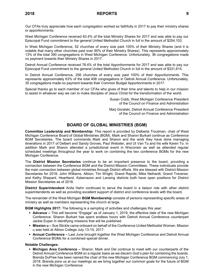Our CFAs truly appreciate how each congregation worked so faithfully in 2017 to pay their ministry shares or apportionments:

West Michigan Conference received 83.4% of the total Ministry Shares for 2017 and was able to pay our Episcopal Fund commitment to the general United Methodist Church in full in the amount of \$254,103.

In West Michigan Conference, 52 churches of every size paid 100% of their Ministry Shares (and it is notable that many other churches paid over 90% of their Ministry Shares). This represents approximately 13% of the total 390 congregations in West Michigan Conference. Unfortunately, 36 congregations made no payment towards their Ministry Shares in 2017.

Detroit Annual Conference received 78.4% of the total Apportionments for 2017 and was able to pay our Episcopal Fund commitment to the general United Methodist Church in full in the amount of \$331,615.

In Detroit Annual Conference, 256 churches of every size paid 100% of their Apportionments. This represents approximately 63% of the total 408 congregations in Detroit Annual Conference. Unfortunately, 35 congregations made no payment towards their Common Budget Apportionments in 2017.

Special thanks go to each member of our CFAs who gives of their time and talents to help in our mission to assist in whatever way we can to make disciples of Jesus Christ for the transformation of the world.

> Susan Cobb, West Michigan Conference President of the Council on Finance and Administration

> Marj Goralski, Detroit Annual Conference President of the Council on Finance and Administration

# **BOARD OF GLOBAL MINISTRIES (BGM)**

**Committee Leadership and Membership:** This report is provided by Delberta Troutman, chair of West Michigan Conference Board of Global Ministries (BGM). Mark and Sharon Burkart continue as Conference BGM Secretaries. The board commends Mark and Sharon and the work they have done managing itinerations in 2017 of Delbert and Sandy Groves, Paul Webster, and Ut Van To and his wife Karen To. In addition Mark and Sharon attended a jurisdictional event in Wisconsin as well as attended regular scheduled meetings throughout the year to work on combining the two conference BGMs for the new Michigan Conference.

The **District Mission Secretaries** continue to be an important presence to the board, providing a connection between the Conference BGM and the District Mission Committees. These individuals provide the main connection between global ministries through District efforts. We are blessed with District Mission Secretaries for 2018: John Williams, Albion; Tim Wright, Grand Rapids; Mike Neihardt, Grand Traverse; and Kathy Shepard, Heartland. Kalamazoo and Lansing districts both have open positions for District Mission Secretaries as of 2018.

**District Superintendent** Anita Hahn continued to serve the board in a liaison role with other district superintendents as well as providing excellent support of district and conference levels with the board.

The remainder of the West Michigan **BGM Membership** consists of persons representing specific areas of ministry as well as members representing the church at large.

**BGM Highlights 2017:** The following is a sampling of activities and challenges this year:

- **Advance –** This will become "Engage" as of January 1, 2019, the effective date of the new Michigan Conference. Sharon Burkart has spent endless hours with Detroit Annual Conference counterpart Jackie Euper in identifying missions that will be published.
- **Mission**  $u$  **Sue Stickle came onboard on behalf of the Conference United Methodist Women. Mission** u was held at Albion College July 13-15, 2017.
- **Annual Conference –** Last June brought together the West Michigan Conference and Detroit Annual Conference BGMs for a combined special dinner.

### **Notable Challenges:**

**■ Michigan Area Conference –** Sharon, Mark and Del continue to meet with our counterparts of the Detroit Annual Conference BGM on a regular basis as we discern God's plan for combining the boards. Brenda DuPree has been named the chair of the new Michigan Conference BGM commencing July 1, 2018. Brenda joins us at our meetings as we bring together our common goals for the future of BGM in the new Michigan Conference.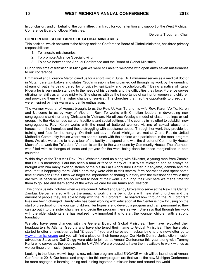In conclusion, and on behalf of the committee, thank you for your attention and support of the West Michigan Conference Board of Global Ministries.

Delberta Troutman, Chair

### **CONFERENCE SECRETARIES OF GLOBAL MINISTRIES**

This position, which answers to the bishop and the Conference Board of Global Ministries, has three primary responsibilities:

- 1. To itinerate missionaries.
- 2. To promote Advance Special giving
- 3. To serve between the Annual Conference and the Board of Global Ministries.

During this time of transition in Michigan we were still able to welcome with open arms seven missionaries to our conference.

Emmanuel and Florence Mefor joined us for a short visit in June. Dr. Emmanuel serves as a medical doctor in Mutambare, Zimbabwe and states "God's mission is being carried out through my work by the unending stream of patients being cared for physically, spiritually and psychologically." Being a native of Kano, Nigeria he is very understanding to the needs of his patients and the difficulties they face. Florence serves utilizing her skills as a nurse mid-wife. She shares with us the importance of caring for women and children and providing them with a higher chance of survival. The churches that had the opportunity to greet them were inspired by their warm and gentle enthusiasm.

The warmer weather of August brought to us the Rev. Ut Van To and his wife Rev. Karen Vo-To. Karen and Ut come to us by way of Vietnam. Rev. To works with Christian leaders in developing new congregations and nurturing Christians in Vietnam. He utilizes Wesley's model of class meetings or cell groups into the Vietnamese culture, traditions and social settings of the country in his effort to establish new congregations. Rev. Karen works with the need of battered women, victims of sexual abuse and harassment, the homeless and those struggling with substance abuse. Through her work they provide job training and food for the hungry. On their last day in West Michigan we met at Grand Rapids United Methodist Community House where we shared lunch with the seniors who participate in the meal program there. We also were able to have a tour of the facility and spend time with the director of Community House. Much of the work the To's do in Vietnam is similar to the work done by Community House. The afternoon was filled with exchanges of ideas and prayers for the work being done for those marginalized in both countries.

Within days of the To's visit Rev. Paul Webster joined us along with Silvester, a young man from Zambia that Paul is mentoring. Paul has been a familiar face to many of us in West Michigan and as always he brought with him many exciting stories of the Majila Falls Agriculture Center in Kanyama, Zambia and the work that is happening there. While here they were able to visit several farm operations and spent some time at Michigan State. Often we forget the importance of sharing our story with the missionaries while they are with us because we are so excited to hear of their work. So during their visit here we made time for them to go, see and learn some of the ways we care for our farms and livestock.

This brings us into October when we welcomed Delbert and Sandy Grove who serve at the New Life Center, Zambia. Delbert shared with us the amazing work that is being done with new start churches and the amount of people they are able to help with the PET program. He shared how through the PET program lives are being changed. Sandy who has been working with education at the Center is now focusing on the start of preschool for the younger children. Her hopes are to develop a program and train personnel so they can go out into the sister churches and begin the program there as well. She says that through her work with the older students she has realized how important it is to start the younger children with a strong foundation.

We also have seen changes with the General Board of Global Ministries. They have relocated their headquarters to Atlanta, Georgia and have shortened their name to Global Ministries. They have also started to offer a newsletter called "Engage," if you are interested in subscribing to this newsletter go to [www.umcmission.org](http://www.umcmission.org/) and you will find a place on their home page. Our North Central Jurisdiction mission advocates Steve and Gail Quigg were able to join us at Annual Conference this year along with Tammy Kuntz who serves as the coordinator for UMVIM. We are blessed to have them available to work with us as we continue the mission journey.

Looking to the future we will begin a new mission program called ENGAGE which will be launched at Annual Conference 2018. Our hopes and prayers for this new program are that we as the new Michigan Conference be more engaged in learning, doing and joining together in mission here and around the world.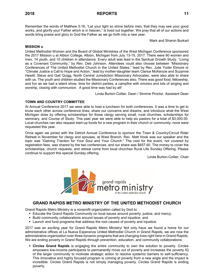Remember the words of Matthew 5:16, "Let your light so shine before men, that they may see your good works, and glorify your Father which is in heaven," is lived out together. We pray that all of our actions and words bring praise and glory to God the Father as we go forth into a new year.

Mark and Sharon Burkart

#### **MISSION u**

United Methodist Women and the Board of Global Ministries of the West Michigan Conference sponsored the 2017 Mission u at Albion College, Albion, Michigan from July 13-15, 2017. There were 90 women and men, 14 youth, and 10 children in attendance. Every adult was lead in the Spiritual Growth Study, "Living as a Covenant Community," by Rev. Deb Johnson. Attendees could also choose between "Missionary Conferences of The United Methodist Church in the United States," lead by Rev. Julie Yoder Elmore or "Climate Justice a Call to Hope and Action," lead by mother-daughter team Clarice McKenzie and Suzanne Hewitt. Steve and Gail Quigg, North Central Jurisdiction Missionary Advocates, were also able to share with us. The youth and children studied the Missionary Conferences also. There was good food, fellowship, and fun as we had a talent show, time for district parties, a campfire with smores and lots of singing and worship, closing with communion. A good time was had by all!

Linda Burton-Collier, Dean / Simmie Proctor, Assistant Dean

### **TOWN AND COUNTRY COMMITTEE**

At Annual Conference 2017 we were able to host a luncheon for both conferences. It was a time to get to know each other across conference lines, share our concerns and dreams, and introduce what the West Michigan does by offering scholarships for those clergy serving small, rural churches, scholarships for seminary, and Course of Study. This past year we were able to help six pastors for a total of \$3,000.00. Local churches can also request start-up funds for a new program in their church or community, none were requested this year.

Once again we joined with the Detroit Annual Conference to sponsor the Town & Country/Circuit Rider Retreat in November for clergy and spouses, at West Branch. Rev. Matt Hook was our speaker and the topic was "Gaining Traction for Your Soul and Your Church." The cost for the event, not covered by registration fees, was shared by the two conferences, and our share was \$657.60. The money to cover the scholarships, church requests, and retreat come from local churches Rural Life Sunday Offering. Please continue to support this special Sunday offering.

Linda Burton-Collier, Chair



# **GRAND RAPIDS METRO MINISTRY OF THE UNITED METHODIST CHURCH**

Grand Rapids Metro Ministry is a nonprofit organization called by God to:

- **Educate the Grand Rapids Community on local issues around poverty, justice, and mercy;**
- Build community collaborations around issues of poverty and injustice; and
- Launch and fund programs that address the root causes of poverty and injustice.

2017 was an exciting year for Grand Rapids Metro Ministry! Not only have we found a home for our administrative offices at La Nueva Esperanza United Methodist Church in Grand Rapids, we are now the administrative organization over three dynamic programs that are changing lives right here in Grand Rapids. We are ending poverty in Grand Rapids through prevention, education, and community collaborations:

▪ **Circles Grand Rapids** is engaging the entire community to own the solution to poverty. Circles empowers low-income participants to permanently move out of poverty and increases the poverty IQ of the larger community to motivate strategic action to resolve systemic barriers to self-sufficiency. This innovative and highly focused program is coming at poverty from a new angle and the impact is incredible. Circles Grand Rapids is not simply managing poverty. Circles Grand Rapids is ending poverty.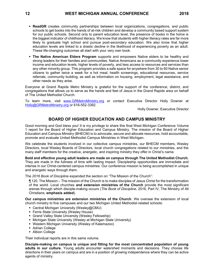- **ReadGR** creates community partnerships between local organizations, congregations, and public schools to get books into the hands of at-risk children and develop a community based support system for our public schools. Second only to parent education level, the presence of books in the home is the biggest indicator of childhood literacy. We know that students with higher literacy rates are far more likely to graduate high school and pursue post-secondary education. We also know that higher education levels are linked to a drastic decline in the likelihood of experiencing poverty as an adult. These life-changing outcomes all start with your very own book.
- **The Native American Elders Program** supports and empowers Native elders to be healthy and strong leaders for their families and communities. Native Americans as a community experience lower income and education levels, higher levels of poverty, and less access to resources and services than any other minority group. This program provides a safe space for anywhere from 30 to 60 Native senior citizens to gather twice a week for a hot meal, health screenings, educational resources, service referrals, community building, as well as information on housing, employment, legal assistance, and other needs as they arise.

Everyone at Grand Rapids Metro Ministry is grateful for the support of the conference, district, and congregations that allows us to serve as the hands and feet of Jesus in the Grand Rapids area on behalf of The United Methodist Church.

To learn more, visit [www.GRMetroMinistry.org](http://www.grmetroministry.org/) or contact Executive Director Holly Downer at [Holly@GRMetroMinistry.org](mailto:Holly@GRMetroMinistry.org) or 616-552-3392.

Holly Downer, Executive Director

# **BOARD OF HIGHER EDUCATION AND CAMPUS MINISTRY**

Good morning and God bless you! It is my privilege to share this final West Michigan Conference Volume 1 report for the Board of Higher Education and Campus Ministry. The mission of the Board of Higher Education and Campus Ministry (BHECM) is to advocate, secure and allocate resources, hold accountable, promote and evaluate United Methodist Campus Ministries in West Michigan.

We celebrate the students involved in our collective campus ministries, our BHECM members, Wesley Directors, local Wesley Boards of Directors, local church congregations related to our ministries, and the many staff members for the creative, energetic, and inspiring ministry they offer in Christ's name.

**Bold and effective young adult leaders are made on campus through The United Methodist Church.**  They are made in the fullness of time with lasting impact. Discipleship opportunities are immediate and intense in our Christ-centered campus ministries. Our conference mission is being accomplished in unique and energetic ways through them.

The *2016 Book of Discipline* expanded the section on "The Mission of the Church":

¶ 120. The Mission – The mission of the Church is to make disciples of Jesus Christ for the transformation of the world. Local churches **and extension ministries of the Church** provide the most significant arenas through which disciple-making occurs (*The Book of Discipline*, 2016, Part IV, The Ministry of All Christians; **emphasis added**).

**Our campus ministries are extension ministries of the Church**. We oversee the extension of local church ministry to five campuses and our two Michigan United Methodist-related schools:

- Central Michigan University (Wesley@CMU)
- **Ferris State University (Wesley House)**
- Grand Valley State University (Wesley Fellowship)
- **EXEDENT Michigan State University (Wesley at Michigan State University)**
- Western Michigan University (Wesley of Kalamazoo)
- Adrian College
- Albion College

Their individual reports are in this same volume.

**Disciple-making on campus is unique and fitting for the most concentrated population of young adults in our culture.** Young adults encounter watershed moments and decisions. They choose life directions in their years on campus and are in a position of growing independence where they can be active agents of ministry.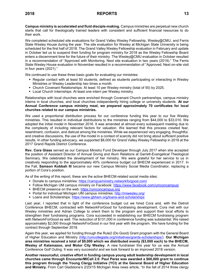**Campus ministry is accelerated and fluid disciple-making.** Campus ministries are perpetual new church starts that call for theologically trained leaders with consistent and sufficient financial resources to do their work.

We completed scheduled site evaluations for Grand Valley Wesley Fellowship, Wesley@CMU, and Ferris State Wesley House during the year. The site evaluation for Wesley at Michigan State University is being scheduled for the first half of 2018. The Grand Valley Wesley Fellowship evaluation in February and update in October led us to suspend their funding for program ministry for 2018 as the Wesley Fellowship Board enters a discernment time for the future of their ministry. The Wesley@CMU evaluation in October resulted in a recommendation of "Approved with Monitoring. Next site evaluation in two years (2019)." The Ferris State Wesley House evaluation in November resulted in a recommendation of "Approved. Next on-site visit in four years (2021)."

We continued to use these three basic goals for evaluating our ministries:

- Regular contact with at least 50 students, defined as students participating or interacting in Wesley Ministries or Wesley Leadership two times a month.
- Church Covenant Relationships: At least 10 per Wesley ministry (total of 50) by 2025.
- **EXECT Local Church Internships: At least one intern per Wesley ministry.**

Relationships with local churches were enriched through Covenant Church partnerships, campus ministry interns in local churches, and local churches independently hiring college or university students. **At our Annual Conference campus ministry meal, we prepared approximately 70 certificates for local churches related to our campus ministries.**

We used a proportional distribution process for our conference funding this year to our five Wesley ministries. This resulted in individual distributions to the ministries ranging from \$44,000 to \$33,010. We adopted the initial model in November 2016. It was amended at almost every subsequent meeting due to the complexity of including relevant factors for valuation. We learned that this process created fear, resentment, confusion, and distrust among the ministries. While we experienced very engaging, thoughtful, and creative discussions, the use of the model in a context of scarcity did not bring about sufficient positive results. In other funding advocacy, we supported \$8,000 for Grand Valley Wesley Fellowship in 2018 at the 2017 Grand Rapids District Conference.

**Rev. Cora Glass** served as our Campus Ministry Fund Developer through July 2017 when she accepted the position of Assistant Director of Annual Giving and Alum Relations at Garrett-Evangelical Theological Seminary. We celebrated the development of her ministry. We were grateful for her service to us in creatively responding to the approximately 40% conference budget cut BHECM experienced in 2017. In the Fall, **Samson Kobbah III** became our new Campus Ministry Social Media Coordinator, replacing a portion of Cora's position.

As of the writing of this report, these are the active BHECM-related social media sites:

- Donate to campus ministries:<https://campusministry.networkforgood.com/>
- Follow Michigan UM campus ministry on Facebook:<https://www.facebook.com/umconcampus/>
- BHECM presence on the web: [https://umconcampus.org](https://umconcampus.org/)
- Portal for individual Michigan UM campus ministries:<http://miwesley.org/>
- **EXECUTE:** Loans and Scholarships:<https://www.gbhem.org/loans-and-scholarships>

Last year, I reported that in light of the conference budget cut we hired Cora and, with the Detroit Conference BHECM, contracted with NetworkForGood for fundraising development. Cora met with our Wesley ministries and Adrian College to orient them to the program and support their local efforts to strengthen their fundraising programs. Cora succeeded in establishing our BHECM fundraising program with NetworkForGood as well. The reduction of \$131,000 in conference funding was substantial. We raised approximately \$2,000 through NetworkForGood in our first year with the program. We have funding for the contract through September 2018.

Again this year, we applied for funding through the Rule2 (Do Good) Grant program with the General Board of Higher Education and Ministry [\(http://umcollegiate.org/initiatives/grants-scholarships/\)](http://umcollegiate.org/initiatives/grants-scholarships/). **Our Michigan area ministries received a total of \$9,000 which we distributed evenly (\$3,000 each) to the BHECM, Wesley of Kalamazoo, and Motor City Wesley.** A new fundraiser this year for us was the Annual Conference Golf Outing. It was very successful and we look forward to an improved 2018 version.

**Another resourceful, creative effort in funding campus young adult leadership development in local churches came through EncounterMICall 2.0. Paul Perez was awarded a \$60,000 grant to continue this program through the Young Clergy Initiative (YCI) at the General Board of Higher Education and Ministry.** From Carl Gladstone's 2/23/15 Michigan Area news article, "In the fall of 2014 three clergy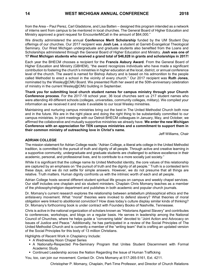from the Area – Paul Perez, Carl Gladstone, and Lisa Batten – designed this program intended as a network of interns sent from campus to be mentored in local churches. The General Board of Higher Education and Ministry approved a grant request for EncounterMiCall in the amount of \$64,000."

We directly administered the annual **Conference Merit Scholarship** funded by the UM Student Day offerings of our churches. Our 2017 recipient was **Josh Lee**, a student at Garrett-Evangelical Theological Seminary. Our West Michigan undergraduate and graduate students also benefited from the Loans and Scholarships administered through the General Board of Higher Education and Ministry. **Josh was one of 17 West Michigan students who received a grand total of \$46,828 in grants and scholarships in 2017!**

Each year the BHECM chooses a recipient for the **Francis Asbury Award**. From the General Board of Higher Education and Ministry (GBHEM), "the award recognizes individuals who have made a significant contribution to fostering the church's ministries in higher education at the local, district, or annual conference level of the church. The award is named for Bishop Asbury and is based on his admonition to the people called Methodist to erect a school in the vicinity of every church." Our 2017 recipient was **Ruth Jones**, nominated by the Wesley@CMU Board. We presented Ruth her award at the 50th-anniversary celebration of ministry in the current Wesley@CMU building in September.

**Thank you for submitting local church student names for campus ministry through your Church Conference process**. For the 2017-18 school year, 36 local churches sent us 217 student names who were attending 49 different schools (colleges, universities, community colleges, military). We compiled your information as we received it and made it available to our local Wesley ministries.

Maintaining and nurturing campus ministries bring out the best in The United Methodist Church both now and in the future. We are in the right place and doing the right thing to be substantially committed to our campus ministries. In joint meetings with our Detroit BHECM colleagues in January, May, and October, we affirmed the collaborative and mutually supportive ministries we already have. **We enter the new Michigan Conference with an appreciation for TEN campus ministries and a commitment to support them in their common ministry of outreaching love in Christ's name.**

Jeff Williams, Chair

### **ADRIAN COLLEGE**

The mission statement for Adrian College reads: "Adrian College, a liberal arts college in the United Methodist tradition, is committed to the pursuit of truth and dignity of all people. Through active and creative learning in a supportive community, undergraduate and graduate students are challenged to achieve excellence in their academic, personal, and professional lives, and to contribute to a more socially just society."

While it is significant that the college name its United Methodist identity, the core values of this relationship are captured by an emphasis on "the pursuit of truth and the dignity of all people." Truth is a contested term these days, and we do not settle for simple answers. However, we do not presume that all things are relative. Truth matters. Human dignity confronts us with the intrinsic worth of each and all people.

Adrian College hosts several different student spiritual life groups on campus and weekly chapel services. Our staff includes one chaplain and six student ministers. Chaplain Chris Momany teaches as a member of the philosophy/religion department and publishes in both academic and popular church journals.

Dr. Momany's current research explores the relationship between antebellum philosophical ethics and the antislavery movement. What "moral" theories were invoked to defend slavery? What theories of moral obligation were linked to abolitionist conviction? How does today's culture display similar kinds of thinking? Dr. Momany's forthcoming book is under contract with Foundery Books of Nashville, Tennessee.

Chris is active in the national organization of scholars known as "Historians Against Slavery" and contributes to conferences, workshops, and blogs on a regular basis. He serves in leadership among the National Council of Churches, where he helps guide a "convening table" devoted to "Joint Action and Advocacy on Issues of Justice and Peace." Additionally, he has participated in a review of the Social Principles of The United Methodist Church and is currently a member of the "writing team" that is crafting an updated version of the Social Principles for this body of 13 million Christians.

Highlights of Recent Work in Chaplaincy Include:

- **EXECUTE: A Wednesday Noon Chapel Series**
- **E** A Nationally-Respected Pre-Seminary Program that Unites Student Discernment with Formal Academic Study
- **Continued Leadership across the Nation Regarding the Issue of Human Trafficking**

You, too, can join our movement. Contact Dr. Chris Momany at 517-265-5161, Ext. 4211.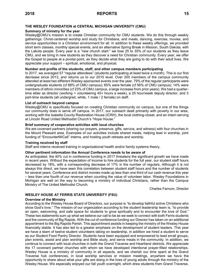### **THE WESLEY FOUNDATION at CENTRAL MICHIGAN UNIVERSITY (CMU)**

### **Summary of ministry for the year**

Wesley@CMU's mission is to create Christian community for CMU students. We do this through weekly gatherings: Christ-centered worship and study for Christians, and meals, dancing, exercise, movies, and service opportunities in a Christian environment for all. In addition to these weekly offerings, we provided short term classes, monthly special events, and an alternative Spring Break in Mission, South Dakota, with the Lakota people. Every year is a "new church start:" we lose 25 to 35% of our students as they leave CMU, and we bring in new students as they discover a need for Christian community. Every year, we offer the Gospel to people at a pivotal point, as they decide what they are going to do with their adult lives. We appreciate your support – spiritual, emotional, and physical.

### **Number and profile of the students, staff, and other campus members participating**

In 2017, we averaged 57 "regular attendees" (students participating at least twice a month). This is our first decrease since 2013, and returns us to our 2015 level. Over 200 members of the campus community attended at least two different Wesley-sponsored events over the year. 79% of the regular participants were undergraduate students (cf 88% of CMU campus); 65% were female (cf 56% of CMU campus); 14% were members of ethnic minorities (cf 23% of CMU campus, a large increase from prior years). We had a quartertime elder as director (working + volunteering 45+ hours a week), a 25 hour/week deputy director, and 3 part-time students (all undergrad, white, 1 male / 2 female) on staff.

#### **List of outreach beyond campus**

Wesley@CMU is specifically focused on creating Christian community on campus, but one of the things our community does is serve off campus. In 2017, our outreach dealt primarily with poverty in our area, working with the Isabella County Restoration House (ICRH), the local clothing-closet, and an intern serving at Lincoln Road United Methodist Church's "Hope House."

### **Brief summary of cooperative activities with local churches**

We are covenant partners (sharing our prayers, presence, gifts, service, and witness) with four churches in the Mount Pleasant area. Examples of our activities include shared meals, helping lead in worship, joint funding of "EncounterMICall" interns, and hosting youth retreats and worship.

#### **Training received by staff**

Staff and interns received training in organizational health and/or family systems theory.

#### **Other pertinent information the Annual Conference needs to be aware of**

As anticipated, the 40% cut in conference funding in 2017 threatens the significant growth we have made in recent years. Without the expectation of income to hire students for the full year, our student staff hours decreased by 18%, with a corresponding decrease of 17% in the number of regulars. Although it is not always this direct, we have seen this correlation between student staff hours and the number of students for several years. Conference and district monies made up less than one third of our cash revenue this year – less than one fourth of our revenue when counting the value of volunteer labor. Wesley Foundations in Michigan are well on the way to becoming a ministry of individual Christians, rather than the Campus Ministry of The United Methodist Church.

Charles Farnum, Director

### **WESLEY HOUSE AT FERRIS STATE UNIVERSITY (FSU)**

#### **Overview of the Ministry**

According to the Wesley House Board of Directors, our purpose is "to develop faithful active Christians who show God's love." The mission of our organization according to the student leadership team is, "to provide an open, welcoming, and safe space for students to grow spiritually and to encounter the love of God." These two statements sum up what we believe our call to be as we seek to connect with both Ferris students and the community of Big Rapids. With the cut of conference funding our Director has taken on an additional appointment to the Big Rapids Parish. This appointment assists in keeping the ministry of the Wesley House financially stable. It has also led to a greater emphasis on the development of student leaders. This year we have a team of twelve student volunteers taking on leadership, in addition we hired a student to serve as our Student Food Pantry Director. Students have been equipped and empowered to lead small groups, plan events, assist and plan worship and Bible study, and serve meals in the community. In addition, we continue to connect with local churches in both the Grand Traverse and Heartland districts. We appreciate the 17 covenant partner churches with whom we have developed intentional prayer-filled relationships. Wesley House is a ministry of community in all aspects, and we cherish our time spent at the Grand Traverse hub conferences, in local worship services or mission meetings, anywhere we have the opportunity to share about what your gifts are doing in the lives of young adults through the ministry of the Wesley House. We especially enjoyed our fall youth overnight, which drew students from Grand Traverse,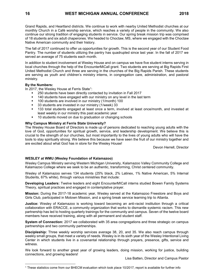Grand Rapids, and Heartland districts. We continue to work with nearby United Methodist churches at our monthly Church in a Café worship service, which reaches a variety of people in the community. We also continue our strong tradition of engaging students in service. Our spring break mission trip was comprised of 18 students and six adult chaperones. We headed to Choctaw, MS, where we engaged with the Choctaw Native American community and their history.

The fall of 2017 continued to offer us opportunities for growth. This is the second year of our Student Food Pantry. The number of students utilizing the pantry has quadrupled since last year. In the fall of 2017 we served an average of 75 students each month.

In addition to student involvement at Wesley House and on campus we have five student interns serving in local churches through the help of the EncounterMiCall grant. Two students are serving at Big Rapids First United Methodist Church and three are serving in the churches of the Big Rapids Parish. These students are serving as youth and children's ministry interns, in congregation care, administration, and pastoral ministry.

#### **By the Numbers:**

 $\overline{a}$ 

In 2017, the Wesley House at Ferris State<sup>1</sup>:

- 250 students have been directly contacted by invitation in Fall 2017
- 140 students have engaged with our ministry on any level in the last term
- **•** 100 students are involved in our ministry (1/month) 100<br>• 33 students are invested in our ministry (1/week) 33
- 33 students are invested in our ministry (1/week) 33
- **133 total students engaged at least once a term, involved at least once/month, and invested at** least weekly in our ministry this past academic year
- 10 students moved on due to graduation or changing schools

#### **Why Campus Ministry at Ferris State University?**

The Wesley House Board of Directors is made up of persons dedicated to reaching young adults with the love of God, opportunities for spiritual growth, service, and leadership development. We believe this is crucial to the strength of our churches, but most importantly to the lives of young adults who will have the tools to stay spiritually strong. We believe this because we have seen the fruit of our ministry together and are excited about what God has in store for the Wesley House!

Devon Herrell, Director

### **WESLEY at WMU (Wesley Foundation of Kalamazoo)**

Wesley Campus Ministry serving Western Michigan University, Kalamazoo Valley Community College and Kalamazoo College where we seek to be an authentic, transforming, Christ centered community.

Wesley of Kalamazoo serves 134 students (25% black, 2% Latinex, 1% Native American, 5% Internal Students, 67% white), through various ministries that include:

**Developing Leaders:** Twelve leaders and eight EncounterMICall interns studied Bowen Family Systems Theory, spiritual practices and engaged in contemplative prayer.

**Mission:** During the 2017-18 academic year, Wesley served at the Kalamazoo Freestore and Boys and Girls Club, participated in Motown Mission, and a spring break service learning trip to Atlanta.

**Justice:** Wesley of Kalamazoo is working toward becoming an anti-racist institution through a critical collaboration with ERACCE, a community organization that works to dismantle systemic racism. This new partnership has led to hosting quarterly trainings for the community and campus. Seven of the twelve board members have received training, along with all permanent and student staff.

**System of Connection:** 2017 we collaborated with 35 area congregations and three strategic on campus partnerships and two community partnerships.

**Discipleship:** Three weekly worship services average 38, 20, and 35. We also reach campus through weekly small groups, that meet a variety of needs. Wesley is in its sixth year of the Wesley Intentional Living Center in which students live in a covenantal relationship through prayers, presence, gifts, service and witness.

We look forward to another great year of growing leaders, doing mission, working for justice, building connections, and growing leaders!

Lisa Batten, Director and Campus Pastor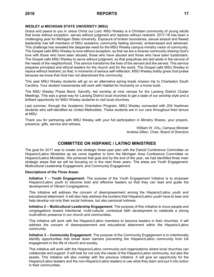### **WESLEY at MICHIGAN STATE UNIVERSITY (MSU)**

Grace and peace to you in Jesus Christ our Lord. MSU Wesley is a Christian community of young adults that loves without exception, serves without judgment and rejoices without restraint. 2017-18 has been a challenging year for Michigan State University. Exposure of broken boundaries, sexual assault and flawed leadership has left members of MSU academic community feeling stunned, embarrassed and ashamed. This challenge has revealed the desperate need for the MSU Wesley campus ministry vision of community. The Gospel calls MSU Wesley to love without exception; so that we are a diverse community sharing God's love with those who have been abused, those who have abused and those who have been bystanders. The Gospel calls MSU Wesley to serve without judgment, so that prejudices are laid aside in the service of the needs of the neighborhood. This service transforms the lives of the servant and the served. This service prepares principled and ethical leaders for the church and for the world. The Gospel calls MSU Wesley to rejoice without restraint; so that, in moments of serious self-reflection, MSU Wesley boldly gives God praise because we know that God has not abandoned this community.

This year MSU Wesley students will go on an alternative spring break mission trip to Charleston South Carolina. Your student missionaries will work with Habitat for Humanity on a home build.

The MSU Wesley Praise Band, Sanctify, led worship at nine venues for the Lansing District Cluster Meetings. This was a great way for Lansing District local churches to get a taste of our worship style and a brilliant opportunity for MSU Wesley students to visit local churches.

Last summer, through the Academic Orientation Program, MSU Wesley connected with 204 freshman students who self-identified as United Methodists. These students are in our care throughout their tenure at MSU.

Thank you for partnering with MSU Wesley with your full participation in Ministry Shares, your prayers, presence, gifts, service and witness.

> William W. Chu, Campus Minister Andrew Dillon, Chair, Board of Directors

# **COMMITTEE ON HISPANIC / LATINO MINISTRIES**

The goal for 2017 was to create one strategic three-year plan with the Detroit Conference Committee on Hispanic/Latino Ministries as we come together to form the Michigan Area Conference Committee on Hispanic/Latino Ministries. We achieved that goal and by the end of the year, we had identified three main strategic areas that we will be focusing on in the next three years. The areas are Youth Engagement, Multicultural Leadership Engagement, and Community Engagement.

#### **Descriptions of the Three Areas:**

**Initiative 1 – Youth Engagement:** The purpose of the Youth Engagement Initiative is to empower Hispanic/Latino youth to become bold and effective leaders so that they can lead and guide the development of Vibrant Congregations.

This initiative will address the concern of disempowerment among the Hispanic/Latino youth and educational attainment. It will also help address the burdens that Hispanic/Latino youth have to bear and help develop not only their social holiness, but also personal holiness.

**Initiative 2 – Multicultural Leadership Engagement:** The purpose of this initiative is move people and congregations toward intentional, multi-cultural, contextual faith development to celebrate a strong multi-ethnic presence in our church and communities.

This initiative will work with the Hispanic/Latino members to become leaders in their churches. It will address the concern of disempowerment and educational attainment within the Hispanic/Latino community.

**Initiative 3 – Community Engagement:** The purpose of the Community Engagement is to intentionally identify opportunities that break down barriers preventing the Hispanic/Latino community from full engagement in the life of church and society.

This initiative will work with the Hispanic/Latino community and organizations where local churches can collaborate and support. It will look for not only the needs of the Hispanic/Latino community, but also the assets. This initiative will also overlap with the previous initiative. It will give an opportunity for the Hispanic/Latino leaders and the non-Hispanic/Latino leaders to use what they learn and put it into action in their communities.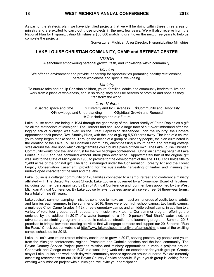As part of the strategic plan, we have identified projects that we will be doing within these three areas of ministry and are excited to carry out those projects in the next few years. We will also receive from the National Plan for Hispanic/Latino Ministries a \$50,000 matching grant over the next three years to help us complete the projects.

Sonya Luna, Michigan Area Director, Hispanic/Latino Ministries

# **LAKE LOUISE CHRISTIAN COMMUNITY, CAMP and RETREAT CENTER**

### *VISION*

A sanctuary empowering personal growth, faith, and knowledge within community.

### *Mission*

We offer an environment and provide leadership for opportunities promoting healthy relationships, personal wholeness and spiritual well-being.

### *Ministry*

To nurture faith and equip Christian children, youth, families, adults and community leaders to live and work from a place of wholeness, and in so doing, they shall be bearers of promise and hope as they transform the world.

### *Core Values*

❖Sacred space and time ❖Diversity and Inclusiveness ❖Community and Hospitality ❖Knowledge and Understanding ❖Spiritual Growth and Renewal ❖Our Heritage and our Future

Lake Louise came into being in 1934 through the generosity of the Horner family of Eaton Rapids as a gift "to all the Methodists of Michigan." The Horners had acquired a large tract of cut-over timberland after the logging era of Michigan was over. As the Great Depression descended upon the country, the Horners approached their pastor, Rev. Stanley Niles, with the idea of giving 5,500 acres away. The idea of a church youth camp began to take shape. Through the action of a group of visionary people, the plan culminated in the creation of the Lake Louise Christian Community, encompassing a youth camp and creating cottage sites around the lake upon which clergy families could build a place of their own. The Lake Louise Christian Community would hold the land in trust for the two Michigan conferences. Christian camping began at Lake Louise in 1935 and has continued without interruption ever since. Approximately half of the original gift was sold to the State of Michigan in 1935 to provide for the development of the site. LLCC still holds title to 2,400 acres of the original gift. The land is managed under the Conservation Forestry Act and the Forest Legacy Conservation Easement, providing for the sustainable harvesting of timber and insuring the undeveloped character of the land and the lake.

Lake Louise is a cottager community of 126 families connected to a camp, retreat and conference ministry affiliated with The United Methodist Church. Lake Louise is governed by a 15-member Board of Trustees, including four members appointed by Detroit Annual Conference and four members appointed by the West Michigan Annual Conference. By Lake Louise bylaws, trustees generally serve three (3) three-year terms, for a total of nine (9) years.

Lake Louise's summer camping ministries continued to make an impact on hundreds of youth, teens, adults and families each summer. In the summer of 2016, there were four high school camps, two family camps, a multi-age Choir Camp (grades 4-12), three elementary camps and a middle school camp, in addition to a variety of volunteer groups, adult retreats, and mission work teams. Our summer program offerings are enriched by the addition in 2017 of a water trampoline, a 19' 10-person "Red Shark" water sled, an adventure tree climbing program, and a bottle rocket construction and launching program. Summer 2018 promises to bring a few more exciting activities that will engage campers and support our 2018 theme, "Run the Race." Check out our website at<http://www.lakelouisecommunity.org/camps.html> to see all the exciting camps scheduled for 2018.

Lake Louise's year-round retreat ministry continued to grow in 2017, serving pastors, lay people and youth from the Michigan conferences, regional Protestant and Catholic parishes and the local community. The Boyne Country Service Project provides mission and ministry opportunities in various projects around Charlevoix and Otsego counties. BCS is a week-long work mission experience for youth groups. Groups stay at Lake Louise and work each day with community service agencies around our area. We are currently accepting reservations for our 2018 Boyne Country Service schedule. If your youth group is looking for an exciting work mission project within Michigan, we invite your participation.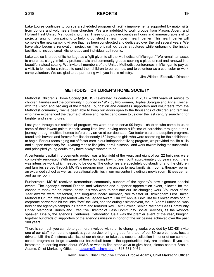Lake Louise continues to pursue a scheduled program of facility improvements supported by major gifts from donors and volunteers from churches. We are indebted to work groups from Mason, Alden, and Holland First United Methodist churches. These groups gave countless hours and immeasurable skill to projects ranging from painting to helping construct a new modern health center. This health center will complete the new camping village that has been constructed and dedicated over the last several years. We have also begun a renovation project on five original log cabin structures while enhancing the inside facilities to include small kitchenettes and individual bathrooms.

Lake Louise is proud of its heritage as a "gift given to all the Methodists of Michigan." We remain an asset to churches, clergy, ministry professionals and community groups seeking a place of rest and renewal in a beautiful natural setting. We invite all members of the United Methodist conferences in Michigan to pay us a visit, to join us for a retreat, to send their children to our camps, and to volunteer as a counselor or work camp volunteer. We are glad to be partnering with you in this ministry.

Jim Willford, Executive Director

# **METHODIST CHILDREN'S HOME SOCIETY**

Methodist Children's Home Society (MCHS) celebrated its centennial in 2017 – 100 years of service to children, families and the community! Founded in 1917 by two women, Sophie Sprague and Anna Kresge, with the vision and backing of the Kresge Foundation and countless supporters and volunteers from the Methodist community, we've been able to keep our doors open to the thousands of children and families who have experienced the trauma of abuse and neglect and came to us over the last century searching for brighter and safer futures.

Last year, through our residential program, we were able to serve 90 boys – children who come to us at some of their lowest points in their young little lives, having seen a lifetime of hardships throughout their journey through multiple homes before they arrive at our doorstep. Our foster care and adoption programs found safe havens and forever families for nearly 150 boys and girls who were searching for their childhood to begin. For our teens aging out of foster care in our independent living program, we provided the life-skills and support necessary for 14 young men to find jobs, enroll in school, and work toward being the successful and principled young adults they have always wanted to be.

A centennial capital improvements project was a highlight of the year, and eight of our 22 buildings were completely renovated. With many of these building having been built approximately 80 years ago, there was intensive work which needed to be done. The outcomes are absolutely outstanding, and the children and families served through MCHS's program now have access to new family visit rooms, therapy rooms, an expanded school as well as recreational activities in our rec center including a movie room, fitness center and game room.

Furthermore, MCHS received tremendous community support of the agency's new signature special events. The agency's Annual Dinner, and volunteer and supporter appreciation event, allowed for the chance to thank the countless individuals who work to continue our life-changing work. Volunteer of the Year awards were presented, and long-time board member, Neil Wester of Birmingham First United Methodist Church, was presented with the Legacy Award. Our 2<sup>nd</sup> Annual Golf Classic allowed many of our corporate partners to hit the links "fore" the kids, and the outing's sister event, the In Bloom Luncheon, was held on the agency's campus in Redford and featured Rev. Faith Fowler, Senior Pastor of Cass Community United Methodist Church and Executive Director of Cass Community Social Services, as the keynote speaker. Finally, the agency's Centennial Celebration Gala was the premier event of the year, bringing together hundreds of supporters of the agency's mission in honor of the successes achieved over the past 100 years.

There is so much you can do to get more involved with the life-changing works provided by MCHS! Invite one of our staff members to speak at your service, bring a group for a tour of our 80-acre campus, host a drive to fulfill the Christmas wish lists of our children, or take up a second collection in honor of our summer school program or to go towards our basketball team – the opportunities truly are endless. If you are interested in learning more about MCHS or want to find other ways to give back, please contact Brooke Adams, Chief Marketing Officer, at [badams@mchsmi.org](mailto:badams@mchsmi.org) or 313-531-9464.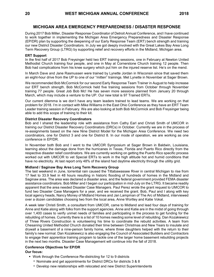# **MICHIGAN AREA EMERGENCY PREPAREDNESS / DISASTER RESPONSE**

During 2017 Bob Miller, Disaster Response Coordinator of Detroit Annual Conference, and I have continued to work together in implementing the Michigan Area Emergency Preparedness and Disaster Response (EP/DR) plan by supporting the deepening of our Early Response Team (ERT) bench strength and training our new District Disaster Coordinators. In July we got deeply involved with the Great Lakes Bay Area Long Term Recovery Group (LTRG) by supporting relief and recovery efforts in the Midland, Michigan area.

#### **ERT Support**

In the first half of 2017 Bob Freysinger held two ERT training sessions, one in February at Newton United Methodist Church training four people, and one in May at Cornerstone Church training 12 people. Then Bob had complications from his knee surgery which put him on the injured reserve list. He's on the mend.

In March Dave and Jane Rasmussen were trained by Lynette Jordan in Wisconsin since that saved them an eight-hour drive from the UP to one of our "mitten" trainings. Met Lynette in November at Sager Brown.

We recommended Bob McCormick for our second Early Response Team Trainer in August to help increase our ERT bench strength. Bob McCormick held five training sessions from October through November training 77 people. Great Job Bob Mc! He has seven more sessions planned from January 20 through March, which may include a venture to the UP. Our new total is 97 Trained ERTs.

Our current dilemma is we don't have any team leaders trained to lead teams. We are working on that problem for 2018. I'm in contact with Mike Williams in the East Ohio Conference as they have an ERT Team Leader training session in February. We are also looking at both Bob McCormick and Bob Freysinger being able to add this scope of training to their kit.

#### **District Disaster Recovery Coordinators**

Bob and I shared the leadership role with assistance from Cathy Earl and Christi Smith of UMCOR in training our District Disaster Recovery Coordinators (DRCs) in October. Currently we are in the process of re-assignments based on the new Nine District Model for the Michigan Area Conference. We need two coordinators, one for District 3 and one for District 8. In our mode of operation, we are working as one conference in EP/DR.

In November both Bob and I went to the UMCOR Symposium at Sager Brown in Baldwin, Louisiana, learning about the damage done from the hurricanes in Texas, Florida and Puerto Rico directly from the respective disaster relief coordinators. We are currently working on getting the Puerto Rico specific process worked out with UMCOR to vet Special ERTs to work in the high altitude hot and humid conditions that have no electricity. At last report only 48% of the island had daytime electricity through the utility grid.

#### **Midland / Saginaw Bay Area Long Term Recovery Group**

The last weekend in June, torrential rain caused the Tittabawassee River in central Michigan to rise from 17 feet to 33.9 feet in 48 hours resulting in historic flooding of hundreds of homes in the Midland and Saginaw area. The area was declared a disaster area, and the federal government provided FEMA disaster assistance coordinators. Bob Miller and I began our participation in mid-July on the LTRG. It became readily apparent that the area needed Disaster Case Managers. Paul Perez wrote the grant request to UMCOR to fund two Disaster Case Managers for a year, and we received the grant. Bob, Paul and I along with key local agency heads, Nancy Money of Midland Homes and Jan Lampman of The Arc of Midland, interviewed over a dozen candidates choosing two from the local area, Anne Wortley and Katie Vokal.

A week later Christi Smith, a consultant from UMCOR, came to Midland and lead four days of training for Anne and Katie along with folks from the support agencies. Anne and Katie are in the midst of going through over 1,400 cases to verify unmet needs of families and participating in the process to get funding for the rebuilding of homes. Currently there is a list of 10 homes needing some level of rebuilding. Dan Kozakiewicz of Three Rivers Construction is volunteering his time to coordinate the rebuild activities. A team from Chesaning United Methodist Church donated their time between Christmas and New Years to insulate and drywall a basement of a nine-person family home, where three daughters helped with the return to their family's new normal. Dan Kozakiewicz is also engaging the Council of Associated Builders and Contractors to engage their apprentice training program to tackle one of the larger home basement rebuilding projects in the next two months. Disaster Case Management will continue into the fall of 2018.

#### **Conference Objectives for EP/DR**

#### **Our focus:**

- Work through the Conference Re-districting for 12 to 9 districts
	- Nominate and get appointments for District DRCs for districts 3 & 8
	- □ Develop new relationships with relocated and new District Superintendents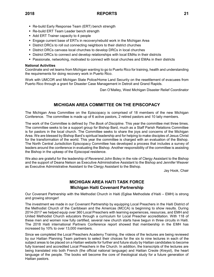- Re-build Early Response Team (ERT) bench strength
- Re-build ERT Team Leader bench strength
- Add ERT Trainer capacity to 4 people
- **Engage current base of ERTs in recovery/rebuild work in the Michigan Area**
- District DRCs to roll out connecting neighbors to their district churches
- District DRCs canvass local churches to develop DRCs in local churches
- **District DRCs to connect and develop relationships with local EMAs in their districts**
- **Passionate, networking, motivated to connect with local churches and EMAs in their districts**

#### **National Activities**

Coordinate and vet teams from Michigan wanting to go to Puerto Rico for training, health and understanding the requirements for doing recovery work in Puerto Rico.

Work with UMCOR and Michigan State Police/Home Land Security on the resettlement of evacuees from Puerto Rico through a grant for Disaster Case Management in Detroit and Grand Rapids.

Dan O'Malley, West Michigan Disaster Relief Coordinator

# **MICHIGAN AREA COMMITTEE ON THE EPISCOPACY**

The Michigan Area Committee on the Episcopacy is comprised of 18 members of the new Michigan Conference. The committee is made up of 6 active pastors, 2 retired pastors and 10 laity members.

The work of the Committee is defined by *The Book of Discipline*. This year the committee met three times. The committee seeks to be a support group for Bishop Bard, much as a Staff Parish Relations Committee is for pastors in the local church. The Committee seeks to share the joys and concerns of the Michigan Area. We are blessed by Bishop Bard's spiritual leadership and for helping to make disciples of Jesus Christ for the transformation of the world. This year the committee is charged with an evaluation of the Bishop. The North Central Jurisdiction Episcopacy Committee has developed a process that includes a survey of leaders around the conference in evaluating the Bishop. Another responsibility of the committee is assisting the Bishop in the upkeep of the Episcopal residence.

We also are grateful for the leadership of Reverend John Boley in the role of Clergy Assistant to the Bishop and the support of Deana Nelson as Executive Administrative Assistant to the Bishop and Jennifer Weaver as Executive Administrative Assistant to the Clergy Assistant to the Bishop.

Jay Hook, Chair

# **MICHIGAN AREA HAITI TASK FORCE Michigan Haiti Covenant Partnership**

Our Covenant Partnership with the Methodist Church in Haiti (Eglise Methodiste d'Haiti – EMH) is strong and growing stronger!

The investment we made in our Covenant Partnership by equipping Local Preachers in the Haiti District of the Methodist Church of the Caribbean and the Americas (MCCA) is beginning to show results. During 2014-2017 we helped equip over 360 Local Preachers with learning experiences, resources, and EMH and United Methodist Church educators through a curriculum for Local Preacher accreditation. With 118 of these men and women now fully certified, several new church starts have begun in three circuits in Haiti. The 2018 Haiti international Partners Conference report showed that membership in the EMH has increased by 10% to over 13,000 members.

Since we completed the Local Preachers Academy Training, the videos of the lectures are being reviewed by our Haitian Planning Team partners to select their choices for the six to nine lectures in each of the subject areas to be placed on a Haitian website for further and future study by Haitian candidates to become fully licensed and accredited Local Preachers in the Church. In addition, the transcripts of the lectures are being translated into both French (the official national language) and Haitian Creole (Kreyol), the heart language of the people. The books will become the core of theological study for a future generation of Haitian pastors.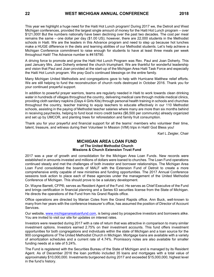This year we highlight a huge need for the Haiti Hot Lunch program! During 2017 we, the Detroit and West Michigan conferences, provided the largest single amount of money for the Haiti Hot Lunch program – over \$121,000! But the numbers nationally have been declining over the past two decades. The cost per meal remains the same – one dollar per day (\$1.00 US); however, there are 22,000 students in the Methodist schools in Haiti. We are the leaders in this Advance program and need to step up because hot lunches make a HUGE difference in the diets and learning abilities of our Methodist students. Let's help achieve a Michigan Conference commitment to raise enough for students to have at least three meals per week throughout Haiti! The Advance number is #418790.

A driving force to promote and grow the Haiti Hot Lunch Program was Rev. Paul and Joan Doherty. This past January Mrs. Joan Doherty entered the church triumphant. We are thankful for wonderful leadership and vision that Paul and Joan provided at the start-up of the Michigan Area Haiti Task Force and especially the Haiti Hot Lunch program. We pray God's continued blessings on the entire family.

Many Michigan United Methodists and congregations gave to help with Hurricane Matthew relief efforts. We are still helping to fund the reconstruction of church roofs destroyed in October 2016. Thank you for your continued prayerful support.

In addition to powerful prayer warriors, teams are regularly needed in Haiti to work towards clean drinking water in hundreds of villages throughout the country, delivering medical care through mobile medical clinics, providing cloth sanitary napkins (Days 4 Girls Kits) through personal health training in schools and churches throughout the country, teacher training to equip teachers to educate effectively in our 110 Methodist schools, assisting in the paying of Methodist teacher salaries where many are more than six months behind in receiving paychecks, helping to fund local micro credit banks (\$6,500 per community) already organized and set up by UMCOR, and planting trees for reforestation and family fruit consumption.

Thank you for your prayerful and financial support for all the teams' members who volunteer their time, talent, treasure, and witness during their Volunteer In Mission (VIM) trips in Haiti! God Bless you!

Karl L Zeigler, Chair

#### **MICHIGAN AREA LOAN FUND of The United Methodist Church Missions & Church Extension Trust Fund**

2017 was a year of growth and consolidation for the Michigan Area Loan Funds. New records were established in amounts invested and millions of dollars were loaned to churches. The Loan Fund operations continued steady and met the challenges of both investor and borrower relationships. The Michigan Area Loan Fund consolidated the boards of MALF with the Extension Fund of Detroit to create a more comprehensive entity capable of new ministries and funding opportunities. The 2017 Annual Conference sessions took action to place each of these agencies under the management of the United Methodist Conference of Michigan. This should prove to be a salutary development.

Dr. Wayne Barrett, CFP®, serves as Resident Agent of the Fund. He serves as Chief Executive of the Fund and brings certification in financial planning and a Series 63 securities license from the State of Michigan. He directs the operations of the Fund from his Grand Rapids office.

Office operations are directed by Marian Coles from the Grand Rapids office. Ann Buck, well-known to many from her years with the conference treasurer's office, has assumed the position of Director of Account Services.

Our website, [www.michiganarealoanfund.com,](http://www.michiganarealoanfund.com/) is being used by prospective investors and borrowers alike. You are invited to visit our site for updates on interest rates.

Investors were rewarded during 2017 with a rate of return that was attractive in comparison to many similar investment options. Investors earned 2.75% on their investment accounts. This fund offers investment opportunities for both congregations and individuals within the state of Michigan and a loan source for the 900 congregations of The United Methodist Church in Michigan. Mortgage loans are available with a variety of amortization schedules and a current rate of 4.74%. Promissory notes are also available for smaller funding needs at a rate of 5.24%.

The Fund is registered with the Securities Bureau of the State of Michigan and is managed by its Resident Agent. As of December 2016 the loan portfolio included 35 loans and mortgages with a total value of approximately \$10,000,000. Investments burgeoned during 2017 and exceeded \$15,000,000, highest level in the fund's history.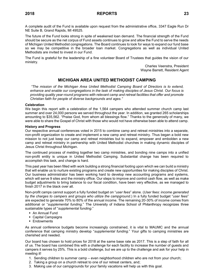A complete audit of the Fund is available upon request from the administrative office, 3347 Eagle Run Dr NE Suite B, Grand Rapids, MI 49525.

The future of the Fund looks strong in spite of weakened loan demand. The financial strength of the Fund should be secure as the net corpus of Fund assets continues to grow and allow the Fund to serve the needs of Michigan United Methodist congregations. The Board continues to look for ways to expand our fund base so we may be competitive in the broader loan market. Congregations as well as individual United Methodists are invited to invest in our Fund.

The Fund is grateful for the leadership of a fine volunteer Board of Trustees that guides the vision of our ministry.

> Charles Veenstra, President Wayne Barrett, Resident Agent

# **MICHIGAN AREA UNITED METHODIST CAMPING**

*"The mission of the Michigan Area United Methodist Camping Board of Directors is to extend, enhance and enable our congregations in the task of making disciples of Jesus Christ. Our focus is providing quality year-round programs with relevant camp and retreat facilities that offer and promote Christian faith for people of diverse backgrounds and ages."*

#### **Celebration**

We begin this report with a celebration of the 1,564 campers who attended summer church camp last summer and over 24,000 persons we served throughout the year. In addition, we granted 265 scholarships amounting to \$35,562. "Praise God, from whom all blessings flow." Thanks to the generosity of many, we were able to share the Gospel of Christ with those who would not have otherwise been able to attend camp.

#### **History and Progress**

Our respective annual conferences voted in 2015 to combine camp and retreat ministries into a separate, non-profit organization to create and implement a new camp and retreat ministry. Thus began a bold new mission to not just keep our camp and retreat ministries but to expand, empower and embolden a new camp and retreat ministry in partnership with United Methodist churches in making dynamic disciples of Jesus Christ throughout Michigan.

The continued process of melding together two camp ministries, and bonding nine camps into a unified non-profit entity is unique in United Methodist Camping. Substantial change has been required to accomplish this task, and change is hard.

This past year has been filled with work building a strong financial footing upon which we can build a ministry that will enable us to nurture existing programs and create new opportunities for making disciples of Christ. Our business administrator has been working hard to develop new accounting programs and systems, which will serve 9 sites and the ministry office. Our steps to improve and control cash flow, as well as make budget adjustments to bring balance to our fiscal condition, have been very effective, as we managed to finish 2017 in the black over all.

Non-profit camps cannot support a fully funded budget on "*user fees*" alone. (*User fees: income generated by the charges to campers and groups who utilize the campground*.) In a fully funded budget "*user fees*" are expected to generate 70% to 80% of the annual income. The remaining 20-30% of income comes from additional or "*supplemental funding.*" The University of Indiana School of Philanthropy recognizes three sustainable types of "*supplemental funding.*"

- An Annual Fund
- Capital Campaigns
- Endowments

As annual conference budgets become increasingly constrained, it is vital to MAUMC and the annual conference that camping ministry develop "*supplemental funding.*" Your gifts to camping ministries are cherished and needed.

Our board has chosen to hold prices for 2018 at the same base rate as 2017. This is a step of faith for all of us. The board has combined this with a challenge for each facility to increase the number of guests and campers it serves by 25%. This is a bold challenge, but we are up to the challenge and ask for your help in meeting it!

- 1. Sending children to summer camp even neighborhood children who are not from your church;
- 2. Taking a group on a church retreat to one of our retreat centers, and;
- 3. Making use of our campgrounds for your family vacations will help us with this goal.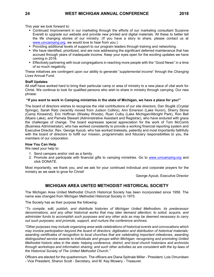This year we look forward to:

- Continued improvement in our marketing through the efforts of our marketing consultant Suzanne Everett to upgrade our website and provide new printed and digital materials. All these to better tell the life changing stories of our ministry. (If you have a story to share, please contact us at [www.umcamping.org,](http://www.umcamping.org/) we would love to hear from you.)
- Providing additional levels of support to our program leaders through training and networking.
- We have identified, prioritized, and are now addressing the significant deferred maintenance that has accrued through years of inadequate income. Keep your eyes open for the exciting updates we have coming in 2018.
- **Effectively partnering with local congregations in reaching more people with the "Good News" in a time** of so much negativity.

These initiatives are contingent upon our ability to generate "*supplemental income*" through the *Changing Lives* Annual Fund.

#### **Staff Updates**

All staff have worked hard to bring their particular camp or area of ministry to a new place of vital work for Christ. We continue to look for qualified persons who wish to share in ministry through camping. Our new phrase:

#### **"If you want to work in Camping ministries in the state of Michigan, we have a place for you!"**

The board of directors wishes to recognize the vital contributions of our site directors, Dan Stuglik (Crystal Springs), Sarah Ratz (recently moved from Judson Collins), Ann Emerson (Lake Huron), Sherry Stone (Camp Kinawind), Eric Hoffman (Wesley Woods), Ryan Culby (Lake Michigan/Albright Park), Ron Bell (Myers Lake), and Pamela Stewart (Administrative Assistant and Registrar), who have endured with grace the challenges of change. The board expresses special appreciation for the work of Tom McComb (Business Administrator), who has worked consistently to provide a working financial reporting system and Executive Director, Rev. George Ayoub, who has worked tirelessly, patiently and most importantly faithfully with the board of directors to fulfill our mission, programmatic and fiduciary responsibilities to you, the members of our corporation.

#### **How You Can Help**

We need your help to:

- 1. Send campers and/or visit as a family.
- 2. Promote and participate with financial gifts to camping ministries. Go to [www.umcamping.org](http://www.umcamping.org/) and click DONATE.

Most importantly, we thank you, and we ask for your continued individual and corporate prayers for the ministry as we seek to grow for Christ!

George Ayoub, Executive Director

# **MICHIGAN AREA UNITED METHODIST HISTORICAL SOCIETY**

The Michigan Area United Methodist Church Historical Society has been incorporated since 1958. The name was changed from Michigan Methodist Historical Society in 1975.

The Society has as their purpose the following:

*"To compile, edit, publish, and distribute histories of Michigan United Methodism, its predecessor denominations, and any other historical works that may later demand attention; to solicit, acquire, and administer funds to accomplish such purposes and any other acts as may be deemed necessary to carry out such purposes; and promote, support, and nurture the conference archives.*

*"Other purposes may include organizing area-wide celebrations of historical events and convocations which may involve participation beyond the board of directors; digitization and distribution of historical materials; awarding certificates of recognition to local churches that are celebrating important milestones, awarding distinguished service awards to individuals and groups within Michigan; recognizing and promoting United Methodist historic sites in the state; helping conference, district, and local church historians and archivists through workshops and information sharing; and such other activities as are consistent with the by-laws of the Historical Society of The United Methodist Church."*

Officers are elected for the quadrennium. The officers are Diana Spitnale Miller - President, Lois Omundsen - Vice President, Sharon Scott - Secretary, and M. Kay Mowery - Treasurer.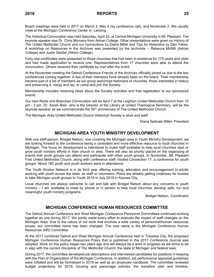Board meetings were held in 2017 on March 2, May 4 (by conference call), and November 2. We usually meet at the Michigan Conference Center in Lansing.

The Historical Convocation was held Saturday, April 22, at Central Michigan University in Mt. Pleasant. The keynote speaker was Dr. Chris Momany from Adrian College. Other presentations were given on History of The United Methodist Church and our connections by Diana Miller and Tips for Historians by Dan Yakes. A workshop on Resources in the Archives was presented by the archivists – Rebecca McNitt (Adrian College) and Justin Seidler (Albion College).

Forty one certificates were presented to those churches that had been in existence for 175 years and older and had made application to receive one. Representatives from 17 churches were able to attend the convocation. Others received their certificate by mail after the event.

At the November meeting the Detroit Conference Friends of the Archives officially joined us due to the two conferences coming together. A few of their members have already been on the board. Their membership became part of a list of members as our group welcomes historians of churches, those interested in history and preserving it, clergy and lay, to come and join the Society.

Membership includes receiving news about the Society activities and free registration to our sponsored events.

Our next Roots and Branches Convocation will be April 7 at the Leighton United Methodist Church from 10 am - 3 pm. Dr. Sarah Blair, who is the Director of the Library at United Theological Seminary, will be the keynote speaker as we commemorate the 50<sup>th</sup> anniversary of The United Methodist Church.

The Michigan Area United Methodist Church Historical Society is alive and well!

Diana Spitnale Miller, President

# **MICHIGAN AREA YOUTH MINISTRY DEVELOPMENT**

With one staff person, Bridget Nelson, now covering the Michigan area in Youth Ministry Development, we are looking forward to the conference being a consistent and more effective resource to local churches in Michigan. The focus on development is intentional to make staff available to help local churches start or grow youth ministry efforts in their church or area. There will also be priority placed on the organizing of events that youth groups can attend and participate with other youth groups. In November, Mt. Pleasant First United Methodist Church, along with conference staff, hosted Connection 17, a conference for youth groups. About 180 youth and youth workers were in attendance.

The Youth Worker Network is in its third year offering training, education and encouragement to adults working with youth across the state, as staff or volunteers. Plans are already getting underway for busses to take Michigan youth groups to Youth 2019 in July 2019 in Kansas City.

Local churches are always welcome to call and talk with Bridget Nelson about any concerns in youth ministry – I am available to meet by phone or in person to help local churches develop safe, fun and meaningful youth ministry programs.

Bridget Nelson, Coordinator

# **MICHIGAN CONFERENCE HUMAN RESOURCES COMMITTEE**

The Detroit Annual Conference and West Michigan Conference Personnel Committees continued working together as one during 2017. We jointly made every effort to evaluate the impact of staff changes on the Michigan Area. Due to the nature of our work that involves a wide variety of personnel/human resources issues, our committee name has been changed. The new name is the Michigan Conference Human Resources (HR) Committee.

At the 2017 combined Detroit and West Michigan Annual Conference held in Traverse City, the proposed Michigan Conference Human Resources Policy that is published in the 2017 Conference Journal was adopted. Work on this policy began two years ago and will always be a work in progress as we strive to be in step with the current *Discipline of The Methodist Church*, the state of Michigan and federal laws.

During 2017, the committee developed job descriptions and interviewed candidates for positions in keeping with the Plan of Organization of the Michigan Conference. In addition, job performance appraisal guidelines were initiated and will be formalized in 2018 as well as an employee handbook. The committee reviewed budget projections for 2019, housing and parsonage policies, the transition plan and timeline,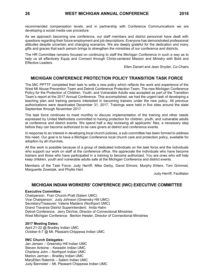recommended compensation levels, and in partnership with Conference Communications we are developing a social media use procedure.

As we approach becoming one conference, our staff members and district personnel have dealt with questions regarding their future employment and job descriptions. Everyone has demonstrated professional attitudes despite uncertain and changing scenarios. We are deeply grateful for the dedication and many gifts and graces that each person brings to strengthen the ministries of our conference and districts.

The HR Committee remains focused on continuing to staff the Michigan Conference in such a way as to help us all effectively Equip and Connect through Christ-centered Mission and Ministry with Bold and Effective Leaders.

Ellen Zienert and Jean Snyder, Co-Chairs

# **MICHIGAN CONFERENCE PROTECTION POLICY TRANSITION TASK FORCE**

The MiC PPTTF completed their task to write a new policy which reflects the work and experience of the West MI Abuse Prevention Team and Detroit Conference Protection Team. The new Michigan Conference Policy for the Protection of Children, Youth, and Vulnerable Adults was accepted as part of the Transition Team's report at the 2017 Annual Conference. This accomplished, we had the urgent task of developing a teaching plan and training persons interested in becoming trainers under the new policy. All previous authorizations were deactivated December 31, 2017. Trainings were held in five sites around the state September through November 2017.

The task force continues to meet monthly to discuss implementation of the training and other needs expressed by United Methodists committed to having protection for children, youth, and vulnerable adults at conference and district events. We spend half a day reviewing all applicants' files, a necessary step before they can become authorized to be care givers at district and conference events.

In response to an interest in developing local church policies, a sub-committee has been formed to address this need. Our goal is to have a Michigan Conference local church care and protection policy, available for adoption by all churches.

All this work is possible because of a group of dedicated individuals on the task force and the individuals who support our work on staff at the conference office. We appreciate the individuals who have become trainers and those who have participated in a training to become authorized. You are ones who will help keep children, youth and vulnerable adults safe at the Michigan Conference and district events.

Members of the Task Force: Judy Herriff, Mike Darby, David Elmore, Murphy Ehlers, Toni Grimmet, Marguerite Zowislak, and Phyllis Hart.

Judy Herriff, Facilitator

### **MICHIGAN INDIAN WORKERS' CONFERENCE (IWC) EXECUTIVE COMMITTEE**

#### **Executive Committee:**

Chairperson: Fran Church-Pratt (Salem UMC) Vice Chairperson: Judy Johnson (Greensky Hill UMC) Secretary/Treasurer: Valerie Maidens (Northport UMC) Grand Traverse District Superintendent: Anita Hahn Detroit Conference: Jerry DeVine, Director of Connectional Ministries West Michigan Conference: Benton Heisler, Director of Connectional Ministries

#### **2017 Meeting Dates:**

April 21-22 @ Bradley Indian UMC October 6-7 @ Mt. Pleasant-Chippewa Indian UMC

#### **IWC Church Delegates:**

Jan Jensen – Greensky Hill Indian UMC Steven Antoine – Kewadin Indian UMC Charlene John – Northport Indian UMC Marion Jarman – Bradley Indian UMC MaryEllen Raterink – Salem Indian UMC Judy Bannister – Mt. Pleasant Chippewa Indian UMC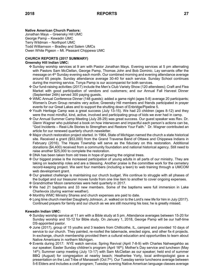# **Native American Church Pastors:**

Jonathan Mays – Greensky Hill UMC George Pamp – Kewadin UMC Terry Wildman – Northport UMC Todd Williamson – Bradley and Salem UMCs Owen White Pigeon – Mt. Pleasant Chippewa UMC

#### **CHURCH REPORTS (2017 SUMMARY) Greensky Hill Indian UMC:**

- ❖ Sunday worship services at 9 am with Pastor Jonathan Mays. Evening services at 5 pm alternating with Pastors Sam McClellan, George Pamp, Thomas John and Bob Dominic. Lay servants offer the message on 4th Sunday evening each month. Our combined morning and evening attendance average around 65 people. Sunday attendance average 30-40 for each service. Sunday School continues during the morning service. Tonya Pamp is our accompanist for both services.
- ❖ Our fund-raising activities (2017) include the Men's Club Variety Show (120 attendees); Craft and Flea Market with good participation of vendors and customers; and our Annual Fall Harvest Dinner (September 24th) served 300 paying guests.
- ❖ WMC Annual Conference Dinner (148 guests); added a game night (ages 5-8) average 20 participants; Women's Drum Group remains very active; Greensky Hill members and friends participated in prayer events for our Great Lakes and to support the shutting down of Enbridge/Pipeline 5.
- ❖ Youth Heritage Camp was a great success (July 13-15). We had 23 children (ages 8-12) and they were the most mindful, kind, active, involved and participating group of kids we ever had in camp.
- ❖ Our Annual Summer Camp Meeting (July 28-29) was great success. Our guest speaker was Rev. Dr. Glenn Wagner who published a book on how interwoven and impactful each person's actions can be, "God Incidents – Real-Life Stories to Strengthen and Restore Your Faith." Dr. Wagner contributed an article for our renewed quarterly church newsletter.
- ❖ Major church restoration project started. In 1964, State of Michigan named the church a state historical site. Received a grant (\$53,000) from the Grand Traverse Band of Ottawa and Chippewa Indians in February (2016). The Hayes Township will serve as the fiduciary on this restoration. Additional donations (\$4,400) received from a community foundation and national historical agency. Still need to raise another \$25,000 to complete the restoration.
- ❖ DNA has been taken from old trees in hope of growing the original trees.
- ❖ Our biggest praise is the increased participation of young adults in all parts of our ministry. They are taking on leadership roles and are a blessing. Another praise is the committee work for the cemetery record-keeping project. We sent four members (including a teen) to web training through a UMCOM web development grant.
- ❖ Our greatest challenge is maintaining our church budget. We continue to struggle with all phases of the budget and our treasurer moves funds from one line item to another to cover ongoing expenses.
- ❖ Grandmother Moon ceremonies were held quarterly in 2017.
- ❖ We had 21 baptisms and 33 new members. Some of the baptisms were full immersion in Lake Charlevoix (during warmer weather).
- ❖ Monthly WMC Ministry Shares and church expenses are paid to date.
- ❖ Long time church member Daugherty Johnson, Jr. walked on to the Lord's new life for him in July (2017). Continued prayers for family and our church as we are still mourning his loss; he is greatly missed.

# **Kewadin Indian UMC:**

- ❖ Sunday worship service at 11 am with a Bible study at 5 pm. Attendance averages between 15-20 for Sunday worship and 10-12 for Bible study. On January 1, 2018, George Pamp will be our half-time DS-appointed pastor.
- ❖ June (2017), group of 15 youths and 3 leaders from Chillicothe, IL, camped and provided 10 days of service to our church. They painted, re-roofed the tabernacle, erected signs, and other fix-it projects. In exchange, church membership provided them a cultural education and opportunities to learn about Native Americans in northern Michigan.
- ❖ Events during 2017: NYE watch service; Spring Revival (April 7-8-9) with Charles Nahwegahbo as our speaker; Easter Sunday children's program (April 16<sup>th</sup>); Mother's Day service and luncheon (May 14th); Summer camp meeting (July 13-17) with Sam McClellan as our speaker; held end of summer BBQ (August) for congregation at nearby beach; Heatherlee Yorty, local anthropologist gave a presentation on the Lost Tribe of Manasseh (Oct 7<sup>th</sup>). Our Tuesday senior luncheons average between 5-6 Elders and includes a craft program; Tuesday evening Native American language classes average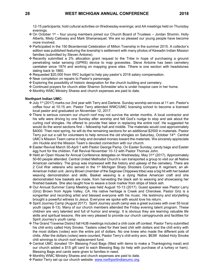12-15 participants; hold cultural activities on Wednesday evenings; and AA meetings held on Thursday evenings.

- ❖ On October 1 st four young members joined our Church Board of Trustees Jordan Shomin, Holly Alberts, Misty Calloway and Mark Shananaquet. We are so pleased our young people have become more involved.
- ❖ Participated in the 150 Bicentennial Celebration of Milton Township in the summer 2015. A collector's edition was published featuring the township's settlement with many photos of Kewadin Indian Mission families (submitted by Steven Antoine).
- ❖ Recently submitted a 2% allocation grant request to the Tribe in hope of purchasing a ground penetrating radar sensing (GPRS) device to map gravesites. Steve Antoine has been cemetery caretaker since 1974 and working on mapping grave sites. Tthere is one section with headstones dating back to 1860.
- ❖ Requested \$20,000 from IWC budget to help pay pastor's 2018 salary compensation.
- ❖ Near completion on repairs to Pastor's parsonage.
- ❖ Exploring the possibility of historic designation for the church building and cemetery.
- ❖ Continued prayers for church elder Sharron Schneider who is under hospice care in her home.
- ❖ Monthly WMC Ministry Shares and church expenses are paid to date.

#### **Northport Indian UMC:**

- ❖ July 1st (2017) marks our 2nd year with Terry and Darlene. Sunday worship services at 11 am. Pastor's coffee hour at 10:15 am. Pastor Terry attended WMC/UMC licensing school to become a licensed local pastor and graduated on November 12, 2017.
- ❖ There is serious concern our church roof may not survive the winter months. A local contractor and his wife were driving by one Sunday after worship and felt God's nudge to stop and ask about the curling roof shingles. He offered to provide free labor in replacing the entire roof. He suggested he would do the worst sections first – fellowship hall and middle. The materials would cost approximately \$4000. Then next spring, he will do the remaining sections for an additional \$2500 in materials. Pastor Terry put out a call for volunteers to help remove the old shingles on Saturday, October 14<sup>th</sup>. Central UMC's Mission Team came to help and donated monies toward the materials. We sincerely appreciate Jim Huckle and the Mission Team's devoted connection with our church.
- ❖ Easter Revival March 30-April 1 with Pastor George Pamp. On Easter Sunday, candy bags and Easter egg hunt for the children. Fall Revival November 10-12 with Pastor Thomas John.
- ❖ Held an Open House for Annual Conference delegates on Wednesday, May 31st (2017). Approximately 50-60 people attended. Central United Methodist Church's van transported a group to visit our all Native American cemetery. The group was impressed with the history and upkeep of the cemetery. There are 2 Civil War veterans who served in the 1<sup>st</sup> Michigan Sharp Shooters Company K regiment, an all-American Indian unit. Jenny Brown (member of the Saginaw Chippewa tribe) was a big hit with her basket weaving demonstration and skills. Basket weaving is a dying Native American craft and she demonstrated how baskets are made, from harvesting the black ash to weaving and showcasing her finished baskets. She also taught how to weave a book marker from strips of black ash.
- ❖ Our Annual Summer Camp Meeting was held August 10-13 (2017). Guest speaker was Pastor Larry (Griz) Brown from Apple Valley, CA. His native heritage is Creek and Cherokee. Pastor Griz is a songwriter and recording artist and blessed everyone with his music. His testimony and storytelling brought a powerful witness to Jesus. Everyone we spoke with would love his return.
- ❖ Spirit Journey Camp (August 2017): Spirit Journey youth camp was a great success with over 55 local youth (ages 8-13). Many of our church members attended the Friday evening talent program. These children are very talented and full of humor and energy. It is obvious they are learning valuable life skills and spiritual lessons. We are very pleased to provide our church campgrounds and facilities for Spirit Journey's youth camp.
- ❖ The Grand Traverse District fall HUB meetings included a chili cook off contest. Pastor Terry submitted his chili entry called Holy Smoke. Tasters voted for their best chili with dollars and the chili entry with the most dollars (votes) won the entire pot of dollars. No one knew who made the different pots of chilis. After the dollars (votes) were counted, Pastor Terry's chili entry won, \$638! Added Holy Smoke chili winnings to church roof replacement fund.
- ❖ Central UMC donated 15+ Blessing Food Bags (filled with items to make a Thanksgiving meal) and our church added a \$15 gift card to each Blessing Bag (to help with purchase of a turkey or ham). Blessing Bags and cards were given to families in need.
- ❖ Monthly WMC Ministry Shares and church expenses are paid to date.
- ❖ Pastor Terry set up our church website: [www.northportindianumc.org.](http://www.northportindianumc.org/)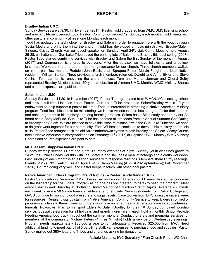### **Bradley Indian UMC**:

Sunday Services are at 9:30. In November (2017), Pastor Todd graduated from WMC/UMC licensing school and now a full-time Licensed Local Pastor. Communion served 1st Sunday each month. Todd meets with other pastors in community at least one Monday each month.

Todd has updated the technology for Bradley and Salem in order to engage more with the youth through Social Media and bring them into the church. Todd has developed a music ministry with Bradley/Salem Singers. Casey Church was our guest speaker on Sunday, April 24<sup>th</sup>. Jjak Camp Meeting held August 25-28, well attended. Gun Lake Tribe paved the parking lots of Salem and Bradley this past spring (2017). Pastor Todd started combining services with Bradley and Salem the first Sunday of the month in August (2017) and Communion is offered to everyone. After the service, we have fellowship and a potluck luncheon. We voted in a one-board model of governance for our church. Three church members walked on in the past few months: Rudolph John Bush, Leah Sprague Fodor, Melvin Fought and local Native resident – William Barker. Three previous church members returned: Dwight and Anna Bixler and Steve Collins. Tom Jarmon is renovating the church fences. Tom and Marian Jarman and Cheryl Selby represented Bradley Mission at the 150-year celebration of Almena UMC. Monthly WMC Ministry Shares and church expenses are paid to date.

#### **Salem Indian UMC**:

Sunday Services at 11:30. In November (2017), Pastor Todd graduated from WMC/UMC licensing school and now a full-time Licensed Local Pastor. Gun Lake Tribe presented Salem/Bradley with a 10-year endowment to help support a pastor full time. Todd is interested in attending a Native American Ministry program. Todd feels blessed to be ministering two Native American churches and grateful for their support and encouragement in his ministry and long learning process. Salem has a Bible study headed by our Ad board chair, Betty McBride. Gun Lake Tribe has donated all proceeds from its Annual Summer Golf Outing to Bradley and Salem. We are blessed to have this close relationship with the Gun Lake Tribe and we hope to do great work together for our community. Todd Williamson continues to develop his ministry and music skills. Pastor Todd brought back the old Anishinabemowin hymns to both Bradley and Salem. Casey Church held a Native American ministry workshop on February 11<sup>th</sup> (2017) at Hopkins UMC. Monthly WMC Ministry Shares and church expenses are paid to date.

#### **Mt. Pleasant Chippewa Indian UMC**:

Sunday worship service 11 am and 7 pm; Thursday evenings at 7 pm. Sunday youth class has grown to 24 youths. Third Sunday worship with Joe Sprague and includes a meal of hotdogs and a crafts workshop. Last Sunday of each month is an all song service with response readings. Members share liturgy readings. Events (2017): NYE watch; Easter (April 13-16); Camp Meeting (August 28-September 4); Fall (November 23-26). Church doing very well, and Pastor keeps in touch with other local pastors.

#### **Native American Elders Program (Grand Rapids) – Pastor Sandy VandenBrink**:

Pastor Sandy retiring December 2017. She served as Program Director for 11 years. Voiced her concerns on the leadership for the Elders Program as no one has volunteered (to date) to head the program. Meet every Tuesday and Thursday at Northland United Methodist Church in Grand Rapids. Average 200 meals each week; average 50 Native American elders attend regularly. Nursing students from Calvin College and GVSU continue to monitor blood pressure and sugar levels. Case worker from DHS available once a week for resources. Regular visits by staff from Native American Community Service to keep Elders informed of programs available to them. Transport Elders who have no other means of transportation to: appointments, funerals, Powwows. Plan to transport Elders to Salem/Bradley for their 1<sup>st</sup> Sunday combined worship service. Special celebration for all holidays and grandchildren are invited. Hold a monthly Bingo. Provide Feeding America food truck throughout the summer months. Conduct funerals and memorial services for members of the community. Michael Peters (4 Fires Ministry) holds a service on Wednesday evenings. Program needs approximately \$35,000 a year to run adequately. Received \$25,000 from IWC. Need additional funding to meet payroll of 3 part-time staff, van expenses, to purchase food and supplies. Pastor Sandy mailed out 380+ letters to Tribes and churches asking for donations.

Valerie Maidens, IWC Secretary / Fran Church-Pratt, IWC Chair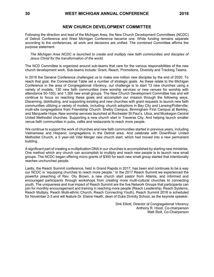Following the direction and lead of the Michigan Area, the New Church Development Committees (NCDC) of Detroit Conference and West Michigan Conference became one. While funding remains separate according to the conferences, all work and decisions are unified. The combined Committee affirms the purpose statement:

*The Michigan Area NCDC is launched to create and multiply new faith communities and disciples of Jesus Christ for the transformation of the world.*

The NCD Committee is organized around sub-teams that care for the various responsibilities of the new church development work. Sub-teams include: Grant, Reach, Promotions, Diversity and Tracking Teams.

In 2016 the General Conference challenged us to make one million new disciples by the end of 2020. To reach that goal, the Connectional Table set a number of strategic goals. As these relate to the Michigan Conference in the area of Congregational Vibrancy, our challenge is to start 13 new churches using a variety of models, 130 new faith communities (new worship services or new venues for worship with attendance 50-100), and 1,300 new small groups. The New Church Development Committee has and will continue to focus on reaching these goals and accomplish our mission through the following ways. Discerning, distributing, and supporting existing and new churches with grant requests to launch new faith communities utilizing a variety of models, including: church adoptions in Bay City and Lansing/Potterville; multi-site congregations from Friendship Church: Shelby Campus, Birmingham First Campus at Berkley, and Marquette Hope. New worship services launched at Rochester St Paul's, Utica, and Muskegon Central United Methodist churches. Supporting a new church start in Traverse City. And helping launch smaller venue faith communities in pubs, cafés and restaurants to reach more people.

We continue to support the work of churches and new faith communities started in previous years, including Vietnamese and Hispanic congregations in the Detroit area. And celebrate with DownRiver United Methodist Church, a 5 year-old Vital Merger new church start, which had moved into a new permanent building.

A significant part of creating a multiplication DNA in our churches is accomplished by starting new ministries. One method which any church can accomplish to multiply and reach new people is to launch new small groups. The NCDC began offering micro grants of \$300 for each new small group started that intentionally reaches unchurched people.

Lastly, the Reach Summit conference, held in Grand Rapids in 2017, has been and continues to be a way our NCDC is "equipping churches to reach more people." In the 2017 Reach Summit we experienced the powerful preaching of Rev. Olu Brown, a new church start pastor from Atlanta, and informed and encouraged participants through workshops from creating more multi-cultural churches to connecting youth. The uniqueness and true impact of Reach Summit are the five Network Groups that participants can join for monthly encouragement and training in reaching more people (Reach Leadership, Reach Systems, Reach Multiply, Reach Multi-ethnic Church, Reach Connecting Youth). Reach Summit 2018 is scheduled for November 2-3 and will feature Dr. Elaine Heath, dean of Duke Divinity School, as the keynote speaker.

> Dirk Elliott, Director of Congregational Vibrancy Anthony R. Hood, Co-chairperson Matt Stoll, Co-Chairperson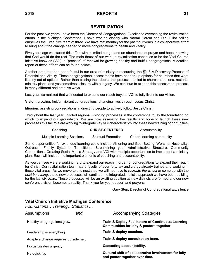# **REVITILIZATION**

For the past two years I have been the Director of Congregational Excellence overseeing the revitalization efforts in the Michigan Conference. I have worked closely with Naomi García and Dirk Elliot calling ourselves the Executive team of three. We have met monthly for the past four years in a collaborative effort to bring about the change needed to move congregations to health and vitality.

Five years ago we started this effort with a limited budget and an abundance of prayer and hope, knowing that God would do the rest. The main thrust of our work in revitalization continues to be the Vital Church Initiative know as (VCI), a "process" of renewal for growing healthy and fruitful congregations. A detailed report of these efforts can be found below.

Another area that has been fruitful in our area of ministry is resourcing the ¶213 A Discovery Process of Potential and Vitality. These congregational assessments have opened up options for churches that were literally out of options. Rather than closing their doors, this process has led to church adoptions, restarts, ministry plans, and yes sometimes closure with a legacy. We continue to expand this assessment process in many different and creative ways.

Last year we realized that we needed to expand our reach beyond VCI to fully live into our vision.

**Vision:** growing, fruitful, vibrant congregations, changing lives through Jesus Christ.

**Mission**: assisting congregations in directing people to actively follow Jesus Christ.

Throughout the last year I piloted regional visioning processes in the conference to lay the foundation on which to expand our groundwork. We are now assessing the results and hope to launch these new processes this fall. We are working to integrate key VCI characteristics into these new training opportunities.

# Coaching **CHRIST-CENTERED** Accountability

Multiple Learning Sessions Spiritual Formation Cohort learning community

Some opportunities for extended learning could include Visioning and Goal Setting, Worship, Hospitality, Outreach, Family Systems, Transitions, Streamlining your Administrative Structure, Community Connections, Creating Social Media Strategy and VCI with multiple opportunities to implement a ministry plan. Each will include the important elements of coaching and accountability.

As you can see we are working hard to expand our reach in order for congregations to expand their reach for Christ. Our revitalization team has a faculty of over forty lay and clergy already trained and working in these vital areas. As we move to this next step we will not have to *recreate the wheel* or come up with the *next best thing*, these new processes will continue the integrated, holistic approach we have been building for the last six years. These processes will be an exciting addition as new districts are formed and our new conference vision becomes a reality. Thank you for your support and prayers.

Gary Step, Director of Congregational Excellence

# **Vital Church Initiative Michigan Conference**

*Foundations…Training…Statistics…*

| Assumptions                            | and | <b>Accompanying Strategies</b>                                                                  |
|----------------------------------------|-----|-------------------------------------------------------------------------------------------------|
| Healthy congregations grow.            |     | Train & Deploy Facilitators of Continuous Learning<br>Communities for laity & pastors together. |
| Leadership is everything.              |     | Train & deploy coaches.                                                                         |
| Adaptive change requires outside help. |     | Train & deploy consultation team.                                                               |
| Focus creates urgency.                 |     | <b>Cascading accountability.</b>                                                                |
| No quick fix.                          |     | Cultural shift of collaborative involvement for laity<br>and pastor together over time.         |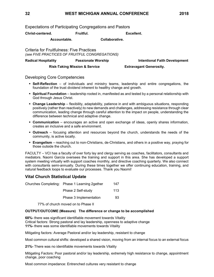Expectations of Participating Congregations and Pastors

**Christ-centered. Fruitful. Excellent.**

**Accountable. Collaborative.**

Criteria for Fruitfulness: Five Practices *(see FIVE PRACTICES OF FRUITFUL CONGREGATIONS)*

**Radical Hospitality Passionate Worship Intentional Faith Development Risk-Taking Mission & Service Extravagant Generosity.**

Developing Core Competencies

- **Self-Reflection** of individuals and ministry teams, leadership and entire congregations, the foundation of the trust dividend inherent to healthy change and growth.
- **Spiritual Foundation** leadership rooted in, manifested as and tested by a personal relationship with God through Jesus Christ.
- **Example Leadership** flexibility, adaptability, patience in and with ambiguous situations, responding positively (rather than reactively) to new demands and challenges, addressing resistance through clear communication, leading change through careful attention to the impact on people, understanding the difference between technical and adaptive change.
- **Communication** encourages an active and open exchange of ideas, openly shares information, creates an inclusive and a safe environment.
- **Outreach** focusing attention and resources beyond the church, understands the needs of the community, is active locally.
- **Evangelism** reaching out to non-Christians, de-Christians, and others in a positive way, praying for those outside the church.

FACULTY – VCI has a faculty of over forty lay and clergy serving as coaches, facilitators, consultants and mediators. Naomi García oversees the training and support in this area. She has developed a support system meeting virtually with support coaches monthly, and directive coaching quarterly. We also connect with consultants semi-annually. During these times together we offer continuing education, training, and natural feedback loops to evaluate our processes. Thank you Naomi!

# **Vital Church Statistical Update**

| Churches Completing: Phase 1 Learning 2 gether | 147 |
|------------------------------------------------|-----|
| Phase 2 Self-study                             | 113 |
| Phase 3 Implementation                         | 93  |

77% of church moved on to Phase II

### **OUTPUT/OUTCOME (Measure) The difference or change to be accomplished**

**68%-** there was significant identifiable movement towards Vitality Critical factors: Strong pastoral and lay leadership, openness to adaptive change **11%-** there was some identifiable movements towards Vitality

Mitigating factors: Average Pastoral and/or lay leadership, resistant to change

Most common cultural shifts: developed a shared vision, moving from an internal focus to an external focus

**21%-** There was no identifiable movements towards Vitality

Mitigating Factors: Poor pastoral and/or lay leadership, extremely high resistance to change, appointment change, poor coaching

Most common impedance: Entrenched cultures very resistant to change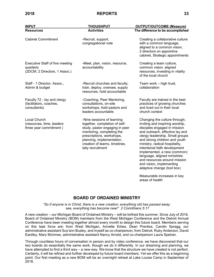| <b>INPUT</b>                                                                         | <b>THOUGHPUT</b>                                                                                                                                                                                                                           | <b>OUTPUT/OUTCOME (Measure)</b>                                                                                                                                                                                                                                                                                                                                                                                                     |
|--------------------------------------------------------------------------------------|--------------------------------------------------------------------------------------------------------------------------------------------------------------------------------------------------------------------------------------------|-------------------------------------------------------------------------------------------------------------------------------------------------------------------------------------------------------------------------------------------------------------------------------------------------------------------------------------------------------------------------------------------------------------------------------------|
| <b>Resources</b>                                                                     | <b>Activities</b>                                                                                                                                                                                                                          | The difference to be accomplished                                                                                                                                                                                                                                                                                                                                                                                                   |
| <b>Cabinet Commitment</b>                                                            | -Recruit, support,<br>congregational vote                                                                                                                                                                                                  | Creating a collaborative culture<br>with a common language,<br>aligned to a common vision,<br>2 directors on appointive<br>cabinet, Strategic appointments                                                                                                                                                                                                                                                                          |
| <b>Executive Staff of five meeting</b><br>quarterly<br>(2DCM, 2 Directors, 1 Assoc.) | -Meet, plan, vision, resource,<br>accountability                                                                                                                                                                                           | Creating a team culture,<br>common vision, aligned<br>resources, investing in vitality<br>of the local church                                                                                                                                                                                                                                                                                                                       |
| Staff - 1 Director, Assoc.,<br>Admin & budget                                        | -Recruit churches and faculty,<br>train, deploy, oversee, supply<br>resources, hold accountable                                                                                                                                            | Team work - high trust,<br>collaboration                                                                                                                                                                                                                                                                                                                                                                                            |
| Faculty 72 - lay and clergy<br>(facilitators, coaches,<br>consultants)               | -Coaching, Peer Mentoring,<br>consultations, on-site<br>workshops, hold pastors and<br>leaders accountable                                                                                                                                 | Faculty are trained in the best<br>practices of growing churches<br>and lived out in their local<br>church context                                                                                                                                                                                                                                                                                                                  |
| Local Church<br>(resources, time, leaders<br>three year commitment)                  | -Nine sessions of learning<br>together, completion of self-<br>study, pastor engaging in peer<br>mentoring, completing the<br>prescriptions, workshops,<br>planning, implementation,<br>creation of teams, timelines,<br>laity recruitment | Changing the culture through;<br>inviting and inspiring worship,<br>disciples engaged in mission<br>and outreach, effective lay and<br>clergy leadership, Small groups<br>and strong children and youth<br>ministry, radical hospitality,<br>intentional faith development<br>implemented, a new (common)<br>language, aligned ministries<br>and resources around mission<br>and vision, implementing<br>adaptive change (tool box) |
|                                                                                      |                                                                                                                                                                                                                                            | Measurable increases in key<br>areas of health                                                                                                                                                                                                                                                                                                                                                                                      |

# **BOARD OF ORDAINED MINISTRY**

*"So if anyone is in Christ, there is a new creation: everything old has passed away; see, everything has become new!" 2 Corinthians 5:17*

A new creation – our Michigan Board of Ordained Ministry – will be birthed this summer. Since July of 2016, Board of Ordained Ministry (BOM) members from the West Michigan Conference and the Detroit Annual Conference have been meeting together almost every month to design this future board. Members serving on this task force are: from West Michigan, Annette Erbes, Dean Prentiss, Carolin Spragg, our administrative assistant Sus'ann Busley, and myself as co-chairperson; from Detroit, Ruby Anderson, David Eardley, Mary McInnes, administrative assistant Nancy Arnold, and co-chairperson Laura Speiran.

Through countless hours of conversation in person and by video conference, we have discovered that our two boards do essentially the same work, though we do it differently. In our dreaming and planning, we have attempted to find a third way – a new way. We know that the structure we have created is not perfect. Certainly, it will be refined and further developed by future board members. Yet we offer this as a beginning point. Our first meeting as a new BOM will be an overnight retreat at Lake Louise Camp in September of 2018.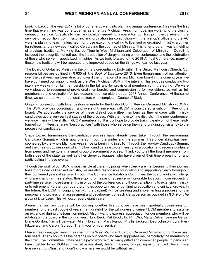Looking back on the year 2017, a lot of our energy went into planning annual conference. This was the first time that everything was done together as an entire Michigan Area, from opening worship to the closing ordination service. Specifically, our two boards needed to prepare for: our first joint clergy session; the service of recognition, commissioning and ordination (in conjunction with the bishop's office and the AC worship planning team); a luncheon for those exploring a calling to licensed or ordained ministry; a dinner for retirees; and a new event called Celebrating the Journey of Ministry. This latter program was a melding of previous traditions: Marking Sacred Time in West Michigan and Celebration of Ministry in Detroit. It included the recognition of retirees, the introduction of clergy entering either conference, and the celebration of those who serve in specialized ministries. As we look forward to the 2018 Annual Conference, many of these new traditions will be repeated and improved based on the things we learned last year.

The Board of Ordained Ministry is the primary credentialing body within The United Methodist Church. Our responsibilities are outlined in ¶ 635 of *The Book of Discipline 2016*. Even though much of our attention over the past year has been directed toward the formation of a new Michigan board in the coming year, we have continued our ongoing work as the West Michigan BOM in the interim. This includes conducting two interview weeks – for full membership in the fall and for provisional membership in the spring. We were very pleased to recommend provisional membership and commissioning for two elders, as well as full membership and ordination for two deacons and two elders at our 2017 Annual Conference. At the same time, we celebrated with three local pastors who completed Course of Study.

Ongoing connection with local pastors is made by the District Committee on Ordained Ministry (dCOM). The BOM provides coordination and oversight, since each dCOM is considered a subcommittee of the board. We appreciate the service of these district committee members as they engage with ministry candidates at the very earliest stages of the process. With the move to nine districts in the new conference, we know there will be shifts in dCOM membership. It is our hope to provide training early on for these newly formed committees, sharing "best practices" with those who serve on them and bringing consistency to the process for candidates.

Steps toward harmonizing the candidacy process have already been taken through the semi-annual Candidacy Summit which is now offered in both the winter and the summer. This undertaking has been sponsored by the whole Michigan Area since its beginning in 2016. Through the two-day Candidacy Summit and the three group sessions which follow, candidates explore ministry as a vocation and receive guidance from peers and mentors in a small-group discernment process. Thank you to all the board members from both sides of the state, as well as other clergy colleagues, who have given of their time preparing for and participating in these events.

Though the work of our BOM is most visible at the entry points when clergy are first beginning their journey toward ordained or licensed ministry, we are also responsible for guiding and supporting clergy throughout their continued years of service. Through the Conference Relations Committee, the board works with clergy who are changing their status: those going on leave of absence or honorable location, those requesting part-time service, those transferring in or out of the conference, and those transitioning to extension ministry or to retirement. Further, our board promotes opportunities for continuing education and spiritual growth. In the future, the BOM (in conjunction with the cabinet) will be creating and implementing a process for the personal and professional assessment and development of each clergyperson as outlined in ¶ 349 of *The Book of Discipline.* This will occur every eight years.

Aware that our two boards will be coming together this July, we have been gradually downsizing our numbers for the past couple of years. I am grateful for the willingness of current BOM members to assume an extra load during this transition period. Also, I want to express appreciation for our members who will be rotating off the board in the coming year: Eric Beck, Pat Brook, Bo Rin Cho, Marty Culver, Jeanne Garza, Diane Gordon, Harris Hoekwater, Allen Horstman, Mary Ivanov, Phyllis Jackson, Deb Johnson, Lynn Pier-Fitzgerald, and Carolin Spragg. Thank you for your service!

I have greatly enjoyed serving as chair of the West Michigan Board of Ordained Ministry during these past four years. Thank you to all the persons on our board who have supported me, particularly the members of the Executive Committee. It has been a joy to work with so many gifted and committed people. In particular, I am indebted to our BOM administrative assistant, Sus'ann Busley, for keeping us organized. Sus'ann is a true servant of Christ and I don't know where we would be without her.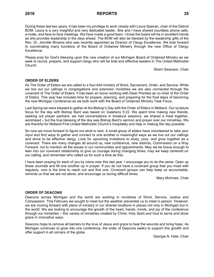During these last two years, it has been my privilege to work closely with Laura Speiran, chair of the Detroit BOM. Laura is a very insightful and very dedicated leader. She and I have shared countless phone calls, e-mails, and face-to-face meetings. We have made a good team. I know the board will be in excellent hands as she provides leadership in the days ahead. The BOM will also be blessed by the leadership gifts of the Rev. Dr. Jennifer Browne who was recently appointed as Director of Clergy Excellence. We look forward to coordinating many functions of the Board of Ordained Ministry through the new Office of Clergy Excellence.

Please pray for God's blessing upon this new creation of our Michigan Board of Ordained Ministry as we seek to recruit, prepare, and support clergy who will be bold and effective leaders in The United Methodist Church.

Sherri Swanson, Chair

#### **ORDER OF ELDERS**

As The Order of Elders we are called to a four-fold ministry of Word, Sacrament, Order, and Service. While we live out our callings in congregations and extension ministries we are also connected through the covenant of The Order of Elders. It has been an honor working with Dean Prentiss as co-chair of the Order of Elders. This year has included time for prayers, planning, and preparing for the final steps of becoming the new Michigan Conference as we both work with the Board of Ordained Ministry Task Force.

Last Spring we were blessed to gather at the Bishop's Day with the Order of Elders in Midland. Our scripture focus for the day with Bishop Bard was based on Galatians 5:22. We spent time making new friends, seeking out prayer partners, we had conversations in breakout sessions, we shared a meal together, worshiped – but the true blessing of the day was Bishop Bard's sermon and prayer over our ministries. We are thankful for Midland First United Methodist Church's hospitality and help in making the day possible.

So now we move forward to figure out what is next. A small group of elders have volunteered to take your input and find ways to gather and connect to one another in meaningful ways as we live out our callings and strive to be effective clergy. Look for upcoming invitations to study, pray, and grow together as a covenant. There are many changes all around us, new conference, new districts, Commission on a Way Forward, not to mention all the issues in our communities and appointments. May we be brave enough to lean into our covenant relationship to give us courage during changing times, may we keep centered on our calling, and remember who called us for such a time as this.

I have been praying for each of you by name over this last year. I encourage you to do the same. Open up those Journals and lift one another up in prayer. If you do not have a covenant group that you meet with regularly, now is the time to reach out and find one. Covenant groups can help keep us accountable, reminds us that we are not alone, and encourage us during difficult times.

Mary McInnes, Chair

#### **ORDER OF DEACONS**

Deacons across Michigan and the world are working in ministries of Word, Service, Justice and Compassion. This February we sought to meet but the weather prevented us to meet in person. However, we are moving forward with plans of ministry in our diverse locations in places not only in Michigan but in the world. We are looking to encourage the growth of the heart, hands, minds, and joy of the conference through our ministries – this variety of ministries created by Christ, Holy Spirit and God to serve and show grace in innovative ways.

Deacons hope to remove all barriers to the love of Jesus and grace to heal the wounds and bring hope. As Michigan continues to grow into one conference, the order of Deacons seeks to support this growth and offer support in all corners of the globe.

Georgia N. Hale, Chair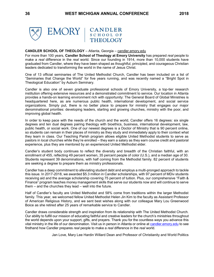CANDLER<br>SCHOOL OF



#### **CANDLER SCHOOL OF THEOLOGY** – Atlanta, Georgia – [candler.emory.edu](http://www.candler.emory.edu/)

For more than 100 years, **Candler School of Theology at Emory University** has prepared *real* people to make a *real* difference in the *real* world*.* Since our founding in 1914, more than 10,000 students have graduated from Candler, where they have been shaped as thoughtful, principled, and courageous Christian leaders dedicated to transforming the world in the name of Jesus Christ.

One of 13 official seminaries of The United Methodist Church, Candler has been included on a list of "Seminaries that Change the World" for five years running, and was recently named a "Bright Spot in Theological Education" by Auburn Seminary.

Candler is also one of seven graduate professional schools of Emory University, a top-tier research institution offering extensive resources and a demonstrated commitment to service. Our location in Atlanta provides a hands-on learning environment rich with opportunity: The General Board of Global Ministries is headquartered here, as are numerous public health, international development, and social service organizations. Simply put, there is no better place to prepare for ministry that engages our major denominational priorities: developing leaders, starting and growing churches, ministry with the poor, and improving global health.

In order to keep pace with the needs of the church and the world, Candler offers 16 degrees: six single degrees and ten dual degrees pairing theology with bioethics, business, international development, law, public health, or social work. One of our newest degrees is a Doctor of Ministry that is 90 percent online, so students can remain in their places of ministry as they study and immediately apply to their context what they learn in class. Our Teaching Parish program allows eligible United Methodist students to serve as pastors in local churches while they're enrolled – they earn a salary as they earn course credit and pastoral experience, plus they are mentored by an experienced United Methodist elder.

Candler's student body continues to reflect the diversity and breadth of the Christian faithful, with an enrollment of 455, reflecting 49 percent women, 35 percent people of color (U.S.), and a median age of 30. Students represent 39 denominations, with half coming from the Methodist family. 82 percent of students are seeking a degree to prepare them as ministry professionals.

Candler has a deep commitment to alleviating student debt and employs a multi-pronged approach to tackle this issue. In 2017-2018, we awarded \$5.3 million in Candler scholarships, with 97 percent of MDiv students receiving aid and the average scholarship covering 75 percent of tuition. Plus, our comprehensive "Faith & Finance" program teaches money management skills that serve our students now and will continue to serve them – and the churches they lead – well into the future.

Half of Candler's faculty are United Methodist and 58% come from traditions within the larger Methodist family. This year, we welcomed fellow United Methodist Helen Jin Kim to the faculty as Assistant Professor of American Religious History, and we sent best wishes along with our colleague Mary Lou Greenwood Boice as she retired after 25 years of remarkable service to Candler.

Candler draws considerable strength and inspiration from its relationship with The United Methodist Church. Our ability to fulfill our mission of educating faithful and creative leaders for the church's ministries throughout the world depends upon your support, gifts, and prayers. Thank you for the countless ways you advance this vital ministry in the life of our denomination. Visit us in person in Atlanta or online at [candler.emory.edu](http://www.candler.emory.edu/) to see firsthand how Candler prepares *real* people to make a *real* difference in the *real* world.

Jan Love, Mary Lee Hardin Willard Dean and Professor of Christianity and World Politics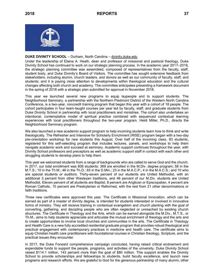

### **DUKE DIVINITY SCHOOL** – Durham, North Carolina – [divinity.duke.edu](http://divinity.duke.edu/)

Under the leadership of Elaine A. Heath, dean and professor of missional and pastoral theology, Duke Divinity School has continued to work on our strategic planning process. In the academic year 2017–2018, the strategic planning committee was assembled, composed of representatives from the faculty, staff, student body, and Duke Divinity's Board of Visitors. The committee has sought extensive feedback from stakeholders, including alumni, church leaders, and donors as well as our community of faculty, staff, and students; and it is paying close attention to developments within theological education and the cultural changes affecting both church and academy. The committee anticipates presenting a framework document in the spring of 2018 with a strategic plan submitted for approval in November 2018.

This year we launched several new programs to equip laypeople and to support students. The Neighborhood Seminary, a partnership with the Northern Piedmont District of the Western North Carolina Conference, is a two-year, noncredit training program that began this year with a cohort of 18 people. The cohort participates in four team-taught courses per year led by faculty, staff, and graduate students from Duke Divinity School in partnership with local practitioners and ministries. The cohort also undertakes an intentional, contemplative model of spiritual practice combined with sequenced contextual learning experiences with local practitioners throughout the two-year program. Heidi Miller, Ph.D., directs the Neighborhood Seminary program.

We also launched a new academic support program to help incoming students learn how to think and write theologically. The Refresher and Intensive for Scholarly Enrichment (RISE) program began with a two-day pre-orientation workshop for new students this August. Over half of the incoming class, 83 students, registered for this self-selecting program that includes lectures, panels, and workshops to help them navigate academic work and succeed at seminary. Academic support continues throughout the year, with Divinity School professors and preceptors as well as academic support staff in contact with each other and struggling students to develop plans to help them.

This year we welcomed students from a range of backgrounds who are called to serve God and the church. In 2017, our total enrollment was 606 students: 369 are enrolled in the M.Div. degree program; 58 in the M.T.S.; 10 in the Th.M.; 46 in the Th.D.; 83 in the D.Min.; 23 in the M.A.C.P.; 4 in the M.A.C.S.; and 10 who are special students or auditors. Thirty-seven percent of our students are United Methodist, with an additional 3 percent from other Wesleyan traditions, and 46 percent of our M.Div. students are United Methodist. Eleven percent of all students are Baptist, 8 percent are Anglican or Episcopalian, 4 percent are Roman Catholic, 10 percent are Presbyterian or Reformed, with the rest from 21 other denominations or faith traditions.

Three new certificates were approved this year. The Certificate in Missional Innovation, which can be earned as part of a master of divinity degree, is intended for students interested or involved in innovative forms of ministry. They will receive training in contextual evangelism and church planting with the goal of converting, gathering, and discipling people who are often neglected or unreached by existing church structures. The Certificate in Theology and the Arts, which can be earned alongside the M.Div., M.T.S., or Th.M., aims to help students appreciate and articulate the mutual enrichment of theology and the arts and to create opportunities to involve local churches and communities in the arts. The Certificate in Theology and Health Care is a new fully accredited residential graduate program that provides robust theological and practical engagement with contemporary practices in medicine and health care. The certificate aims to equip Christian health care practitioners with foundational courses in Christian theology, Scripture, and the practical issues they encounter.

In 2017, the Duke Forward comprehensive campaign concluded, having raised critical endowment and expendable funds to support the people, programs, and activities of the university. Duke Divinity School raised \$114.1 million, 143 percent more than the goal of \$80 million. This support enables the Divinity School to provide scholarships and fellowships to students, build faculty excellence, and launch new programs and research efforts. We are grateful to God for the generous partnership of many alumni, other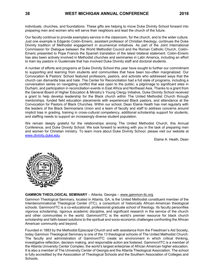individuals, churches, and foundations. These gifts are helping to move Duke Divinity School forward into preparing men and women who will serve their neighbors and lead the church of the future.

Our faculty continue to provide exemplary service in the classroom, for the church, and to the wider culture. Just one example is Edgardo Colón-Emeric, assistant professor of Christian theology, continues the Duke Divinity tradition of Methodist engagement in ecumenical initiatives. As part of the Joint International Commission for Dialogue between the World Methodist Council and the Roman Catholic Church, Colón-Emeric presented to Pope Francis the Spanish translation of the latest bilateral statement. Colón-Emeric has also been actively involved in Methodist churches and seminaries in Latin America, including an effort to train lay pastors in Guatemala that has involved Duke Divinity staff and doctoral students.

A number of efforts and programs at Duke Divinity School this year have sought to further our commitment to supporting and learning from students and communities that have been too-often marginalized. Our Convocation & Pastors' School featured professors, pastors, and activists who addressed ways that the church can dismantle bias and hate. The Center for Reconciliation had a full slate of programs, including a conversation series on navigating conflict that was open to the public; a pilgrimage to significant sites in Durham; and participation in reconciliation events in East Africa and Northeast Asia. Thanks to a grant from the General Board of Higher Education & Ministry's Young Clergy Initiative, Duke Divinity School received a grant to help develop leadership for the Black church within The United Methodist Church through mentorships, funded field education placements with experienced Black pastors, and attendance at the Convocation for Pastors of Black Churches. Within our school, Dean Elaine Heath has met regularly with the leaders of the Black Seminarians Union and a team of faculty and staff to address concerns around implicit bias in grading, training in cross-cultural competency, additional scholarship support for students, and staffing needs to support an increasingly diverse student population.

We remain deeply grateful for the relationships among The United Methodist Church, this Annual Conference, and Duke Divinity School. We look forward to working with you in the task of preparing men and women for Christian ministry. To learn more about Duke Divinity School, please visit our website at [www.divinity.duke.edu.](http://www.divinity.duke.edu/)

Elaine A. Heath, Dean



#### **GAMMON THEOLOGICAL SEMINARY** – Atlanta, Georgia – [www.gammon-itc.org](http://www.gammon-itc.org/)

Gammon Theological Seminary, located in Atlanta, GA, is the United Methodist constituent member of the Interdenominational Theological Center (ITC), a consortium of historically African-American theological schools. Gammon/ITC is a co-educational, professional graduate school of theology. Its faculty personifies vigorous scholarship, rigorous academic discipline, and significant research in the service of the church and other communities in the world. Gammon/ITC is the world's premier resource for black church scholarship and faith-based solutions to the spiritual and socio-economic challenges confronting the African American community and beyond.

Founded in 1883 by the Methodist Episcopal Church and with assistance from the Freedman's Aid Society, today Gammon Theological Seminary is one of the 13 theological schools of The United Methodist Church. The faculty and administration of Gammon/ITC create an environment in which critical thinking, investigative reflection, decision making, and responsible action are fostered. Gammon/ITC is a member of the Atlanta University Center Complex, the world's largest enterprise of African American higher education. It is also a member of The University Center of Georgia and the Atlanta Theological Association. The school is fully accredited by the Association of Theological Schools and the Southern Association of Colleges and Schools.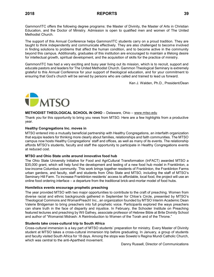Gammon/ITC offers the following degree programs: the Master of Divinity, the Master of Arts in Christian Education, and the Doctor of Ministry. Admission is open to qualified men and women of The United Methodist Church.

The support of this Annual Conference helps Gammon/ITC students carry on a proud tradition. They are taught to think independently and communicate effectively. They are also challenged to become involved in finding solutions to problems that affect the human condition, and to become active in the community beyond this campus. Additionally, graduates of this institution are encouraged to maintain a lifelong desire for intellectual growth, spiritual development, and the acquisition of skills for the practice of ministry.

Gammon/ITC has had a very exciting and busy year living out its mission, which is to recruit, support and educate pastors and leaders for The United Methodist Church. Gammon Theological Seminary is extremely grateful to this Annual Conference for your support of theological education, and for your commitment to ensuring that God's church will be served by persons who are called and trained to lead us forward.

Ken J. Walden, Ph.D., President/Dean



### **METHODIST THEOLOGICAL SCHOOL IN OHIO** – Delaware, Ohio – [www.mtso.edu](http://www.mtso.edu/)

Thank you for this opportunity to bring you news from MTSO. Here are a few highlights from a productive year.

#### **Healthy Congregations Inc. moves in**

MTSO entered into a mutually beneficial partnership with Healthy Congregations, an interfaith organization that equips leaders for thinking more clearly about families, relationships and faith communities. The MTSO campus now hosts Healthy Congregations' staff and offices, as well as many of its events. The relationship affords MTSO's students, faculty and staff the opportunity to participate in Healthy Congregations events at reduced cost.

### **MTSO and Ohio State unite around innovative food hub**

The Ohio State University Initiative for Food and AgriCultural Transformation (InFACT) awarded MTSO a \$35,000 grant, which will help fund the development and testing of a new food hub model in Franklinton, a low-income Columbus community. This work brings together residents of Franklinton, the Franklinton Farms urban gardens, and faculty, staff and students from Ohio State and MTSO, including the staff of MTSO's Seminary Hill Farm. To increase Franklinton residents' access to affordable, local food, the project will use an online food ordering interface – a departure from the traditional brick-and-mortar model of food hubs.

### **Homiletics events encourage prophetic preaching**

The year provided MTSO with two major opportunities to contribute to the craft of preaching. Women from diverse racial and ethnic backgrounds gathered in September for Chloe's Circle, presented by MTSO's Theological Commons and WomanPreach! Inc., an organization founded by MTSO Interim Academic Dean Valerie Bridgeman to bring preachers into full prophetic voice. Participants explored the ways preachers can share truth in the face of disparity and injustice. In February, the Schooler Institute on Preaching featured lectures and preaching by Wil Gafney, associate professor of Hebrew Bible at Brite Divinity School and author of "Womanist Midrash: A Reintroduction to Women of the Torah and of the Throne."

#### **Students take cross-cultural trip to South Africa**

Cross-cultural immersion is a key part of MTSO students' preparation for ministry. Every Master of Divinity student at MTSO takes a cross-cultural immersion trip before graduating. In January, a group of students and faculty visited South Africa for 18 days. Among the stops was Soweto's Regina Mundi Catholic Church, which was central to the anti-Apartheid movement.

Danny Russell, Director of Communications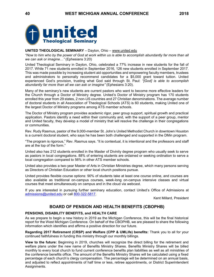

#### **UNITED THEOLOGICAL SEMINARY** – Dayton, Ohio – [www.united.edu](http://www.united.edu/)

*"Now to him who by the power of God at work within us is able to accomplish abundantly far more than all we can ask or imagine…"* (Ephesians 3:20)

United Theological Seminary in Dayton, Ohio, celebrated a 77% increase in new students for the fall of 2017. While 71 new students enrolled in September 2016, 126 new students enrolled in September 2017. This was made possible by increasing student aid opportunities and empowering faculty members, trustees and administrators to personally recommend candidates for a \$5,000 grant toward tuition. United experienced God's provision, trusting what God said through St. Paul: *"[God] is able to accomplish abundantly far more than all we can ask or imagine"* (Ephesians 3:20).

Many of the seminary's new students are current pastors who want to become more effective leaders for the Church through a Doctor of Ministry degree. United's Doctor of Ministry program has 170 students enrolled this year from 29 states, 2 non-US countries and 27 Christian denominations. The average number of doctoral students in all Association of Theological Schools (ATS) is 60 students, making United one of the largest Doctor of Ministry programs among ATS member schools.

The Doctor of Ministry program provides academic rigor, peer group support, spiritual growth and practical application. Pastors identify a need within their community and, with the support of a peer group, mentor and United faculty, they develop a model of ministry that will resolve the challenge in their congregations or communities.

Rev. Rudy Rasmus, pastor of the 9,000-member St. John's United Methodist Church in downtown Houston is a current doctoral student, who says he has been both challenged and supported in the DMin program.

"The program is rigorous," Rev. Rasmus says. "It is contextual, it is intentional and the professors and staff are at the top of the form."

United also has 212 students enrolled in the Master of Divinity degree program who usually seek to serve as pastors in local congregations. 88% of entering students are ordained or seeking ordination to serve a local congregation compared to 56% in other ATS member schools.

United also provides a two-year Master of Arts in Christian Ministries degree, which many persons serving as Directors of Christian Education or other local church positions pursue.

United provides flexible course options: 90% of students take at least one course online, and courses are also available as traditional on-campus courses, week-long on-campus intensive classes and virtual courses that meet simultaneously on campus and in the cloud via webcast.

If you are interested in pursuing further seminary education, contact United's Office of Admissions at [admissions@united.edu](mailto:admissions@united.edu) or call [800-322-5817.](tel:(800)%20322-5817)

Kent Millard, President

# **BOARD OF PENSION AND HEALTH BENEFITS (CBOPHB)**

### **PENSIONS, DISABILITY BENEFITS, and HEALTH CARE**

As we prepare to begin a new history in 2019 as the Michigan Conference, this will be the final historical report for the West Michigan Conference. On behalf of the CBOPHB, we are pleased to share the following information which identifies and affirms a positive direction for our future.

**Regarding 2017 Retirement (CRSP) and Welfare (CPP & UMLife) benefits:** Thank you to all for your continued faithfulness in funding this ministry through our monthly billings.

**View to the future:** Beginning in 2019, churches will recognize the direct billing for the retirement and welfare plans under the new name of Benefits Ministry Shares. Benefits Ministry Shares will be billed monthly to every local church to fund current conference benefits plan liabilities as well as all ministries of the conference benefits office. The amount of the Benefits Ministry Shares will be calculated using a fixed percentage of each church's clergy compensation. The percentage will be determined on an annual basis, and adjusted to reflect appointments of half time or less, retiree appointments, or District Superintendent Assignments.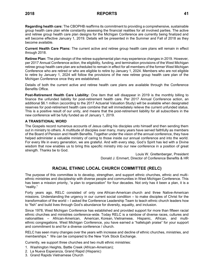**Regarding health care:** The CBOPHB reaffirms its commitment to providing a comprehensive, sustainable group health care plan while constantly assessing the financial realities for all involved parties. The active and retiree group health care plan designs for the Michigan Conference are currently being finalized and will become effective January 1, 2019. Details will be presented in the Summer and Fall of 2018 as they become available.

**Current Health Care Plans:** The current active and retiree group health care plans will remain in effect through 2018.

**Retiree Plan:** The plan design of the retiree supplemental plan may experience changes in 2019. However, per 2017 Annual Conference action, the eligibility, funding, and termination provisions of the West Michigan retiree group health care plan are scheduled to remain in effect for all members of the former West Michigan Conference who are retired or who are eligible to retire by January 1, 2024. Members who are not eligible to retire by January 1, 2024 will follow the provisions of the new retiree group health care plan of the Michigan Conference once they are established.

Details of both the current active and retiree health care plans are available through the Conference Benefits Office.

**Post-Retirement Health Care Liability:** One item that will disappear in 2019 is the monthly billing to finance the unfunded liability for post-retirement health care. Per 2017 Annual Conference action, an additional \$6.1 million (according to the 2017 Actuarial Valuation Study) will be available when designated reserves for post-retirement health care combine that will immediately relieve the current unfunded status. This is a positive result of our unity, and means that the post-retirement liability for all subscribers in the new conference will be fully funded as of January 1, 2019.

# **A TRANSITIONAL WORD**

The Gospels record numerous accounts of Jesus calling his disciples unto himself and then sending them out in ministry to others. A multitude of disciples over many, many years have served faithfully as members of the Board of Pension and Health Benefits. Together under the vision of the annual conference, they have helped administer a valuable ministry of caring to those inside our annual conference and into the world. For every life in every generation, we are grateful. And with every step, God's Spirit has led with a Divine wisdom that now enables us to bring this specific ministry into our new conference in a position of great strength. Thanks be to God.

> Louis W. Grettenberger, President Donald J. Emmert, Director of Conference Benefits & HR

# **RACIAL ETHNIC LOCAL CHURCH COMMITTEE (RELC)**

The purpose of this committee is to develop, strengthen, and support ethnic churches, ethnic and multiethnic ministries and discipleship with diverse people and communities in West Michigan Conference. This has been a mission priority, "a plan to organization" for four decades. Not only has it been a plan, it is a "reality."

Forty years ago, RELC consisted of only one African-American church and three Native-American missions. Understanding the urgency in our current social condition – to make disciples of Christ for the transformation of the world – I asked the Conference Leadership Team to teach ethnic church leaders how to "fish" and build lives through God's abundance for diversity, equality, and inclusion.

Since 1978, West Michigan Conference has established and provided support for more than fifteen racial ethnic churches and ministries conference-wide. Today RELC is a rainbow of diverse races, cultures and nationalities – African-American, American, Korean, Vietnamese, Hispanic, African, and multiethnic congregations. West Michigan Conference, you have earned a "hallelujah praise" for your support and commitment to and for a diverse conference / church.

RELC has seen many changes over the years with increase and decline of ethnic churches, ministries, and memberships.\* We can be compared to the New York Stock Exchange.

Currently, we support three churches and two multi ethnic ministries:

- 1. Washington Heights, Battle Creek (African-American);
- 2. La Nueva Esperanza, Grand Rapid (Hispanic)
- 3. Grand Rapids Vietnamese Church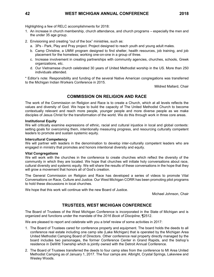Highlighting a few of RELC accomplishments for 2018:

- 1. An increase in church membership, church attendance, and church programs especially the men and the under 35 age group.
- 2. Envisioning and creating "out of the box" ministries, such as:
	- a. 3Ps Park, Play and Pray project. Project designed to reach youth and young adult males.
	- b. Camp Christine, a UMW program designed to find shelter, health resources, job training, and job placement for the homeless; working one-on-one in a group of three.
	- c. Increase involvement in creating partnerships with community agencies, churches, schools, Greek organizations, etc.
	- d. Our Vietnamese church celebrated 30 years of United Methodist worship in the US. More than 250 individuals attended.

\* Editor's note: Responsibility and funding of the several Native American congregations was transferred to the Michigan Indian Workers Conference in 2015.

Mildred Mallard, Chair

# **COMMISSION ON RELIGION AND RACE**

The work of the Commission on Religion and Race is to create a Church, which at all levels reflects the values and diversity of God. We hope to build the capacity of The United Methodist Church to become contextually relevant and reach more people, younger people and more diverse people as we make disciples of Jesus Christ for the transformation of the world. We do this through work in three core areas.

#### **Institutional Equity**

We will critically examine expressions of ethnic, racial and cultural injustice in local and global contexts: setting goals for overcoming them, intentionally measuring progress, and resourcing culturally competent leaders to promote and sustain systemic equity.

#### **Intercultural Competency**

We will partner with leaders in the denomination to develop inter-culturally competent leaders who are engaged in ministry that promotes and honors intentional diversity and equity.

#### **Vital Congregations**

We will work with the churches in the conference to create churches which reflect the diversity of the community in which they are located. We hope that churches will initiate holy conversations about race, cultural diversity and systemic equity. We will share the results of these conversations in the hope that they will grow a movement that honors all of God's creation.

The General Commission on Religion and Race has developed a series of videos to promote Vital Conversations on Race, Culture and Justice. Our West Michigan CORR has been promoting pilot programs to hold these discussions in local churches.

We hope that this work will continue with the new Board of Justice.

Michael Johnson, Chair

# **TRUSTEES, WEST MICHIGAN CONFERENCE**

The Board of Trustees of the West Michigan Conference is incorporated in the State of Michigan and is organized and functions under the mandate of the *2016 Book of Discipline*, ¶2512.

We are pleased to report and celebrate with you a brief review of some activities in 2017:

- 1. The Board of Trustees cared for conference property and equipment. The board holds the deeds to all conference real estate including one camp site (Lake Michigan) that is operated by the Michigan Area United Methodist Camping Board of Directors. Other conference real property directly managed by the board includes two parsonages, the former Conference Center in Grand Rapids, and the bishop's residence in DeWitt Township which is jointly owned with the Detroit Annual Conference.
- 2. The Board of Trustees transferred the deeds to four camp sites from the conference to MI Area United Methodist Camping as of January 1, 2017. The four camps are: Albright, Crystal Springs, Lakeview and Wesley Woods.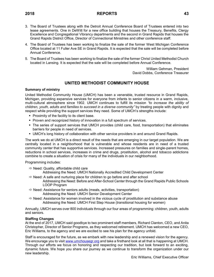- 
- 3. The Board of Trustees along with the Detroit Annual Conference Board of Trustees entered into two lease agreements. One in DeWitt for a new office building that houses the Treasury, Benefits, Clergy Excellence and Congregational Vibrancy departments and the second in Grand Rapids that houses the Grand Rapids District Office, Director of Connectional Ministries and other conference staff.
- 4. The Board of Trustees has been working to finalize the sale of the former West Michigan Conference Office located at 11 Fuller Ave SE in Grand Rapids. It is expected that the sale will be completed before Annual Conference.
- 5. The Board of Trustees has been working to finalize the sale of the former Christ United Methodist Church located in Lansing. It is expected that the sale will be completed before Annual Conference.

William Gehman, President David Dobbs, Conference Treasurer

# **UNITED METHODIST COMMUNITY HOUSE**

### **Summary of ministry**

United Methodist Community House (UMCH) has been a venerable, trusted resource in Grand Rapids, Michigan, providing expansive services for everyone from infants to senior citizens in a warm, inclusive, multi-cultural atmosphere since 1902. UMCH continues to fulfill its mission *"to increase the ability of children, youth, adults and families to succeed in a diverse community"* by treating people with dignity and respect while providing the support services they need. Some of UMCH's strengths include:

- Proximity of the facility to its client base.
- Proven and recognized history of innovation in a full spectrum of services.
- The series of support services that UMCH provides (child care, food, transportation) that eliminates barriers for people in need of services.
- **■** UMCH's long history of collaboration with other service providers in and around Grand Rapids.

The work we do at UMCH is a direct result of the needs that are emerging in our target population. We are centrally located in a neighborhood that is vulnerable and whose residents are in need of a trusted community center that has supportive services. Increased pressures on families and single-parent homes, reductions in school services, increases in crime and drugs, prostitution, alcohol and tobacco addictions combine to create a situation of crisis for many of the individuals in our neighborhood.

### Programming includes:

- $\Rightarrow$  Need: Quality, affordable child care
	- Addressing the Need: UMCH Nationally Accredited Child Development Center
- $\Rightarrow$  Need: A safe and nurturing place for children to go before and after school Addressing the Need: Before and After-School Center through the Grand Rapids Public Schools LOOP Program
- $\Rightarrow$  Need: Assistance for seniors adults (meals, activities, transportation) Addressing the Need: UMCH Senior Development Center
- $\Rightarrow$  Need: Assistance for women involved in the vicious cycle of prostitution and substance abuse Addressing the Need: UMCH First Step House (transitional housing for women)

Annually, UMCH serves over 800 individuals through our four areas of programming: children, youth, adults and seniors.

### **Staffing Changes**

At the end of 2017, UMCH said goodbye to two prominent staff members, Richard Clanton, CEO, and Anita Christopher, Director of Senior Programs, as they welcomed retirement. UMCH has welcomed a new CEO, Eric Williams, to the agency and we are excited to see his plan for the agency unfold.

Staff is encouraged for the future, as we embark with new leadership and a renewed vision for the agency. We encourage you to visi[t www.umchousegr.org](http://www.umchousegr.org/) and take a firsthand look at all that is happening at UMCH. Through our efforts we focus on honoring and respecting our tradition, but look forward to an exciting, dynamic future. We hope you share our journey as we continue to transform the organization under our new leadership.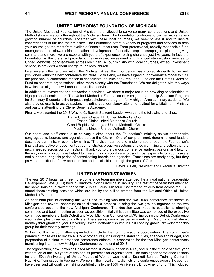# **UNITED METHODIST FOUNDATION OF MICHIGAN**

The United Methodist Foundation of Michigan is privileged to serve so many congregations and United Methodist organizations throughout the Michigan Area. The Foundation continues to partner with an evergrowing number of churches. Together with these local churches, we seek to assist and to inspire congregations in fulfilling their ministry. The Foundation offers a variety of programs and services to help your church get the most from available financial resources. From professional, socially responsible fund management, to stewardship education, development of effective capital campaigns, planned giving seminars and more, we are experts with years of experience helping churches just like yours. In fact, the Foundation is the preferred provider of value-aligned investment and financial stewardship services to United Methodist congregations across Michigan. All our ministry with local churches, except investment service, is provided without charge to the local church.

Like several other entities within the Michigan Area, the Foundation has worked diligently to be well positioned within the new conference structure. To this end, we have aligned our governance model to fulfill the prior annual conference motion to consolidate the Michigan Area Loan Fund and the Detroit Extension Fund as separate organizations linked more closely with the Foundation. We are delighted with the ways in which this alignment will enhance our client services.

In addition to investment and stewardship services, we share a major focus on providing scholarships to high-potential seminarians. The United Methodist Foundation of Michigan Leadership Scholars Program for Seminary Students is the largest single scholarship program for Michigan Area seminary students. We also provide grants to active pastors, including younger clergy attending revitup! for a Lifetime in Ministry and pastors attending the Clergy Benefits Academy.

Finally, we awarded the 2017 Wayne C. Barrett Steward Leader Awards to the following churches:

Battle Creek: Chapel Hill United Methodist Church Fraser: Christ United Methodist Church Grand Rapids: Aldersgate United Methodist Church Ypsilanti: Lincoln United Methodist Church

Our board and staff continue to be very excited about the Foundation's ministry as we partner with congregations, boards, and agencies across the Church. One of our prominent, denominational leaders described our ministry recently by writing, "The vision carried and implemented through the Foundation's financial and active engagement . . . demonstrates proactive systems strategic thinking and action that are much needed across our connection." Thank you to the various conference leaders, pastors, and laity for the ways in which you have helped to create this collaborative effort and most especially for your prayers and support during this period of consolidating boards and agencies. Transitions are rarely easy, but they provide a multitude of new opportunities and possibilities through the grace of God.

David S. Bell, President and Executive Director

# **UNITED METHODIST WOMEN**

The year 2017 began as three more conference team members attended the annual national Leadership Development Days (LDD) held in Charlotte, North Carolina in January. The rest of the team had attended the same training in November of 2016, in St. Louis, Missouri. Conference officers from across the U.S. attend these training sessions which are led by the skilled women from the National Office of United Methodist Women.

An additional plus to attending this week-end training was that the two UMW conference presidents in Michigan had several opportunities to discuss a process to bring the two groups together as the two conferences become the new Michigan Conference. The decision was made to establish a steering committee and begin meeting as soon as possible. Initially this committee was comprised of the executive committee members of both Detroit and West Michigan Conference UMW, including the Detroit Conference webmaster, plus three national officers. The steering committee began meeting in March and met almost monthly throughout the year. University United Methodist Church in East Lansing graciously welcomed this group for their monthly meetings.

Within months the committee expanded to include the communications coordinators. The committee's primary purpose was to review all UMW procedures, including the standing rules, finances and budget, and preparation of a slate of proposed conference officers, in preparation for the two Michigan conferences transitioning into the new Michigan Conference by the end of 2018.

The organization, now known as United Methodist Women, began in 1869, and is in the middle of a five-year celebration of the 150 years of this and its predecessor organizations. The training for conference liaisons for the 150th Anniversary of United Methodist Women was held at Scarrett Bennett Training Center in Nashville, Tennessee, in February. Women in their local units, districts and conferences across the country have been and will continue making contributions to the 150th Anniversary Endowment Fund. This included